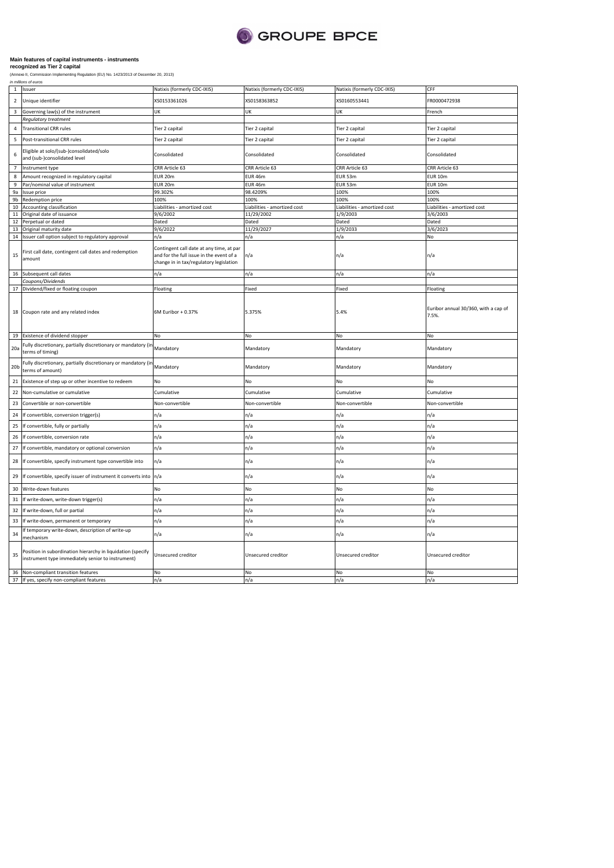

|                 | in millions of euros                                                                                             |                                                                                                                                 |                              |                              |                                               |
|-----------------|------------------------------------------------------------------------------------------------------------------|---------------------------------------------------------------------------------------------------------------------------------|------------------------------|------------------------------|-----------------------------------------------|
| $\,$ 1          | Issuer                                                                                                           | Natixis (formerly CDC-IXIS)                                                                                                     | Natixis (formerly CDC-IXIS)  | Natixis (formerly CDC-IXIS)  | CFF                                           |
| $\overline{2}$  | Unique identifier                                                                                                | XS0153361026                                                                                                                    | XS0158363852                 | XS0160553441                 | FR0000472938                                  |
| 3               | Governing law(s) of the instrument                                                                               | UK                                                                                                                              | UK                           | UK                           | French                                        |
|                 | Requlatory treatment                                                                                             |                                                                                                                                 |                              |                              |                                               |
| $\overline{4}$  | <b>Transitional CRR rules</b>                                                                                    | Tier 2 capital                                                                                                                  | Tier 2 capital               | Tier 2 capital               | Tier 2 capital                                |
| 5               | Post-transitional CRR rules                                                                                      | Tier 2 capital                                                                                                                  | Tier 2 capital               | Tier 2 capital               | Tier 2 capital                                |
| 6               | Eligible at solo/(sub-)consolidated/solo<br>and (sub-)consolidated level                                         | Consolidated                                                                                                                    | Consolidated                 | Consolidated                 | Consolidated                                  |
| $\overline{7}$  | Instrument type                                                                                                  | CRR Article 63                                                                                                                  | CRR Article 63               | CRR Article 63               | CRR Article 63                                |
| 8               | Amount recognized in regulatory capital                                                                          | <b>EUR 20m</b>                                                                                                                  | EUR 46m                      | EUR 53m                      | <b>EUR 10m</b>                                |
| 9               | Par/nominal value of instrument                                                                                  | EUR 20m                                                                                                                         | EUR 46m                      | <b>EUR 53m</b>               | <b>EUR 10m</b>                                |
| 9a              | Issue price                                                                                                      | 99.302%                                                                                                                         | 98.4209%                     | 100%                         | 100%                                          |
| 9b              | Redemption price                                                                                                 | 100%                                                                                                                            | 100%                         | 100%                         | 100%                                          |
| 10              | Accounting classification                                                                                        | Liabilities - amortized cost                                                                                                    | Liabilities - amortized cost | Liabilities - amortized cost | Liabilities - amortized cost                  |
| $11\,$          | Original date of issuance                                                                                        | 9/6/2002                                                                                                                        | 11/29/2002                   | 1/9/2003                     | 3/6/2003                                      |
| 12              | Perpetual or dated                                                                                               | Dated                                                                                                                           | Dated                        | Dated                        | Dated                                         |
| 13              | Original maturity date                                                                                           | 9/6/2022                                                                                                                        | 11/29/2027                   | 1/9/2033                     | 3/6/2023                                      |
|                 | 14 Issuer call option subject to regulatory approval                                                             | n/a                                                                                                                             | n/a                          | n/a                          | No                                            |
| 15              | First call date, contingent call dates and redemption<br>amount                                                  | Contingent call date at any time, at par<br>and for the full issue in the event of a<br>change in in tax/regulatory legislation | n/a                          | n/a                          | n/a                                           |
| 16              | Subsequent call dates                                                                                            | n/a                                                                                                                             | n/a                          | n/a                          | n/a                                           |
|                 | Coupons/Dividends                                                                                                |                                                                                                                                 |                              |                              |                                               |
| 17              | Dividend/fixed or floating coupon                                                                                | Floating                                                                                                                        | Fixed                        | Fixed                        | Floating                                      |
| 18              | Coupon rate and any related index                                                                                | 6M Euribor + 0.37%                                                                                                              | 5.375%                       | 5.4%                         | Euribor annual 30/360, with a cap of<br>7.5%. |
| 19              | Existence of dividend stopper                                                                                    | No                                                                                                                              | No                           | No                           | No                                            |
| 20a             | Fully discretionary, partially discretionary or mandatory (in<br>terms of timing)                                | Mandatory                                                                                                                       | Mandatory                    | Mandatory                    | Mandatory                                     |
| 20 <sub>b</sub> | Fully discretionary, partially discretionary or mandatory (in<br>terms of amount)                                | Mandatory                                                                                                                       | Mandatory                    | Mandatory                    | Mandatory                                     |
| 21              | Existence of step up or other incentive to redeem                                                                | No                                                                                                                              | No                           | No                           | No                                            |
| 22              | Non-cumulative or cumulative                                                                                     | Cumulative                                                                                                                      | Cumulative                   | Cumulative                   | Cumulative                                    |
| 23              | Convertible or non-convertible                                                                                   | Non-convertible                                                                                                                 | Non-convertible              | Non-convertible              | Non-convertible                               |
| 24              | If convertible, conversion trigger(s)                                                                            | n/a                                                                                                                             | n/a                          | n/a                          | n/a                                           |
| 25              | If convertible, fully or partially                                                                               | n/a                                                                                                                             | n/a                          | n/a                          | n/a                                           |
| 26              | If convertible, conversion rate                                                                                  |                                                                                                                                 |                              |                              |                                               |
|                 |                                                                                                                  | n/a                                                                                                                             | n/a                          | n/a                          | n/a                                           |
| 27              | If convertible, mandatory or optional conversion                                                                 | n/a                                                                                                                             | n/a                          | n/a                          | n/a                                           |
| 28              | If convertible, specify instrument type convertible into                                                         | n/a                                                                                                                             | n/a                          | n/a                          | n/a                                           |
| 29              | If convertible, specify issuer of instrument it converts into n/a                                                |                                                                                                                                 | n/a                          | n/a                          | n/a                                           |
| 30              | Write-down features                                                                                              | No                                                                                                                              | No                           | No                           | No                                            |
| 31              | If write-down, write-down trigger(s)                                                                             | n/a                                                                                                                             | n/a                          | n/a                          | n/a                                           |
| 32              | If write-down, full or partial                                                                                   | n/a                                                                                                                             | n/a                          | n/a                          | n/a                                           |
| 33              | If write-down, permanent or temporary                                                                            | n/a                                                                                                                             | n/a                          | n/a                          | n/a                                           |
| 34              | f temporary write-down, description of write-up<br>mechanism                                                     | n/a                                                                                                                             | n/a                          | n/a                          | n/a                                           |
| 35              | Position in subordination hierarchy in liquidation (specify<br>instrument type immediately senior to instrument) | Unsecured creditor                                                                                                              | Unsecured creditor           | Unsecured creditor           | Unsecured creditor                            |
|                 | 36 Non-compliant transition features<br>37 If yes, specify non-compliant features                                | No<br>n/a                                                                                                                       | No<br>n/a                    | No<br>n/a                    | No<br>n/a                                     |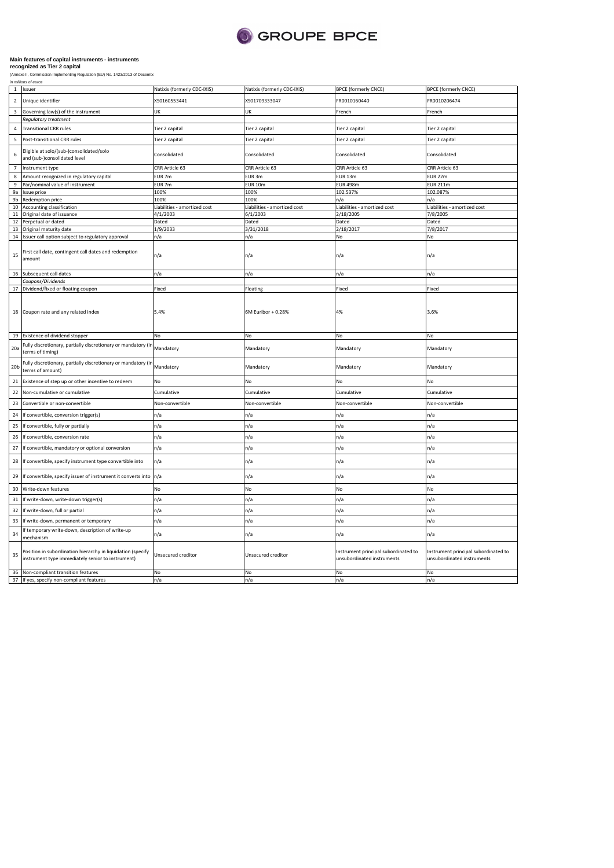

| $\mathbf{1}$<br>2 | Issuer<br>Unique identifier                                                                                      | Natixis (formerly CDC-IXIS)<br>KS0160553441 | Natixis (formerly CDC-IXIS)<br>XS01709333047 | <b>BPCE (formerly CNCE)</b><br>FR0010160440                        | <b>BPCE (formerly CNCE)</b><br>FR0010206474                        |
|-------------------|------------------------------------------------------------------------------------------------------------------|---------------------------------------------|----------------------------------------------|--------------------------------------------------------------------|--------------------------------------------------------------------|
|                   |                                                                                                                  |                                             |                                              |                                                                    |                                                                    |
| 3                 | Governing law(s) of the instrument                                                                               | UK                                          | UK                                           | French                                                             | French                                                             |
|                   | Regulatory treatment                                                                                             |                                             |                                              |                                                                    |                                                                    |
| 5                 | <b>Transitional CRR rules</b><br>Post-transitional CRR rules                                                     | Tier 2 capital                              | Tier 2 capital                               | Tier 2 capital                                                     | Tier 2 capital                                                     |
|                   |                                                                                                                  | Tier 2 capital                              | Tier 2 capital                               | Tier 2 capital                                                     | Tier 2 capital                                                     |
| 6                 | Eligible at solo/(sub-)consolidated/solo<br>and (sub-)consolidated level                                         | Consolidated                                | Consolidated                                 | Consolidated                                                       | Consolidated                                                       |
| $\overline{7}$    | Instrument type                                                                                                  | CRR Article 63                              | CRR Article 63                               | CRR Article 63                                                     | CRR Article 63                                                     |
| 8                 | Amount recognized in regulatory capital                                                                          | EUR <sub>7m</sub>                           | EUR 3m                                       | <b>EUR 13m</b>                                                     | <b>EUR 22m</b>                                                     |
| 9                 | Par/nominal value of instrument                                                                                  | EUR 7m                                      | <b>EUR 10m</b>                               | <b>EUR 498m</b>                                                    | <b>EUR 211m</b>                                                    |
| 9a                | Issue price                                                                                                      | 100%                                        | 100%                                         | 102.537%                                                           | 102.087%                                                           |
| 9 <sub>b</sub>    | Redemption price                                                                                                 | 100%                                        | 100%                                         | n/a                                                                | n/a                                                                |
| 10                | Accounting classification                                                                                        | Liabilities - amortized cost                | Liabilities - amortized cost                 | Liabilities - amortized cost                                       | Liabilities - amortized cost                                       |
|                   | 11 Original date of issuance                                                                                     | 4/1/2003                                    | 6/1/2003                                     | 2/18/2005                                                          | 7/8/2005                                                           |
| 12                | Perpetual or dated                                                                                               | Dated                                       | Dated                                        | Dated                                                              | Dated                                                              |
| 13                | Original maturity date                                                                                           | 1/9/2033                                    | 3/31/2018                                    | 2/18/2017                                                          | 7/8/2017                                                           |
|                   | 14 Issuer call option subject to regulatory approval                                                             | n/a                                         | n/a                                          | No                                                                 | No                                                                 |
| 15                | First call date, contingent call dates and redemption<br>amount                                                  | n/a                                         | n/a                                          | n/a                                                                | n/a                                                                |
|                   |                                                                                                                  |                                             |                                              |                                                                    |                                                                    |
|                   | 16 Subsequent call dates                                                                                         | n/a                                         | n/a                                          | n/a                                                                | n/a                                                                |
|                   | Coupons/Dividends                                                                                                |                                             |                                              |                                                                    |                                                                    |
|                   | 17 Dividend/fixed or floating coupon                                                                             | Fixed                                       | Floating                                     | Fixed                                                              | Fixed                                                              |
|                   | 18 Coupon rate and any related index                                                                             | 5.4%                                        | 6M Euribor + 0.28%                           | 4%                                                                 | 3.6%                                                               |
| 19                | Existence of dividend stopper                                                                                    | No                                          | No                                           | No                                                                 | No                                                                 |
| 20a               | Fully discretionary, partially discretionary or mandatory (ir<br>terms of timing)                                | Mandatory                                   | Mandatory                                    | Mandatory                                                          | Mandatory                                                          |
| 20 <sub>b</sub>   | Fully discretionary, partially discretionary or mandatory (ir<br>terms of amount)                                | Mandatory                                   | Mandatory                                    | Mandatory                                                          | Mandatory                                                          |
| 21                | Existence of step up or other incentive to redeem                                                                | NΩ                                          | <b>No</b>                                    | No                                                                 | No                                                                 |
| 22                | Non-cumulative or cumulative                                                                                     | Cumulative                                  | Cumulative                                   | Cumulative                                                         | Cumulative                                                         |
| 23                | Convertible or non-convertible                                                                                   | Non-convertible                             | Non-convertible                              | Non-convertible                                                    | Non-convertible                                                    |
| 24                | If convertible, conversion trigger(s)                                                                            | n/a                                         | n/a                                          | n/a                                                                | n/a                                                                |
| 25                | If convertible, fully or partially                                                                               | n/a                                         | n/a                                          | n/a                                                                | n/a                                                                |
| 26                | If convertible, conversion rate                                                                                  | n/a                                         | n/a                                          | n/a                                                                | n/a                                                                |
| 27                | If convertible, mandatory or optional conversion                                                                 | n/a                                         | n/a                                          | n/a                                                                | n/a                                                                |
| 28                | If convertible, specify instrument type convertible into                                                         | n/a                                         | n/a                                          | n/a                                                                | n/a                                                                |
| 29                | If convertible, specify issuer of instrument it converts into                                                    | n/a                                         | n/a                                          | n/a                                                                | n/a                                                                |
| 30                | Write-down features                                                                                              | No                                          | No                                           | No                                                                 | No                                                                 |
| 31                | If write-down, write-down trigger(s)                                                                             | n/a                                         | n/a                                          | n/a                                                                | n/a                                                                |
| 32                | If write-down, full or partial                                                                                   | n/a                                         | n/a                                          | n/a                                                                | n/a                                                                |
| 33                | If write-down, permanent or temporary                                                                            | n/a                                         | n/a                                          | n/a                                                                | n/a                                                                |
| 34                | If temporary write-down, description of write-up<br>mechanism                                                    | n/a                                         | n/a                                          | n/a                                                                | n/a                                                                |
| 35                | Position in subordination hierarchy in liquidation (specify<br>instrument type immediately senior to instrument) | Unsecured creditor                          | Unsecured creditor                           | Instrument principal subordinated to<br>unsubordinated instruments | Instrument principal subordinated to<br>unsubordinated instruments |
|                   | 36 Non-compliant transition features                                                                             | No                                          | No                                           | No                                                                 | No                                                                 |
|                   | 37 If yes, specify non-compliant features                                                                        | n/a                                         | n/a                                          | n/a                                                                | n/a                                                                |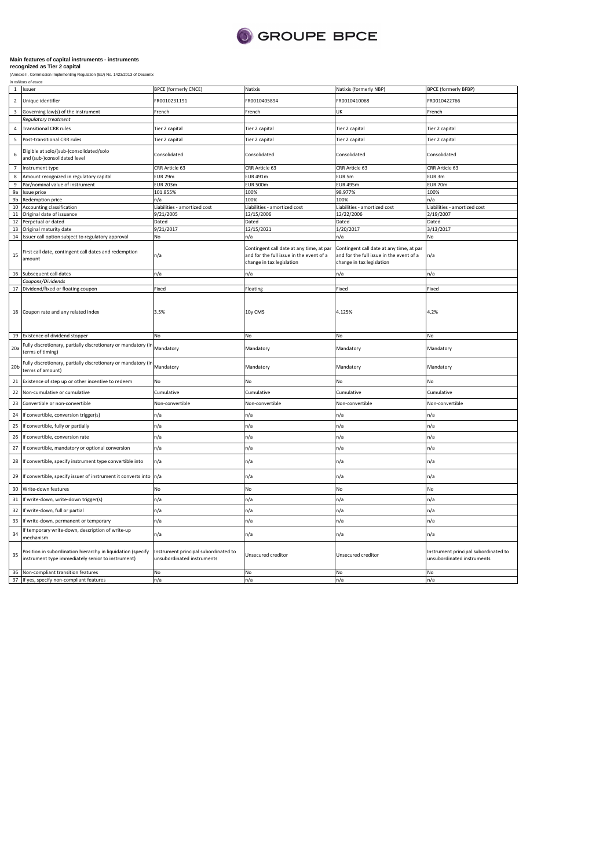

|                 | in millions of euros                                                                                             |                                                                    |                                                                                                                   |                                                                                                                   |                                                                    |
|-----------------|------------------------------------------------------------------------------------------------------------------|--------------------------------------------------------------------|-------------------------------------------------------------------------------------------------------------------|-------------------------------------------------------------------------------------------------------------------|--------------------------------------------------------------------|
| $\,$ 1          | Issuer                                                                                                           | <b>BPCE (formerly CNCE)</b>                                        | Natixis                                                                                                           | Natixis (formerly NBP)                                                                                            | <b>BPCE (formerly BFBP)</b>                                        |
| $\overline{2}$  | Unique identifier                                                                                                | R0010231191                                                        | FR0010405894                                                                                                      | FR0010410068                                                                                                      | FR0010422766                                                       |
| 3               | Governing law(s) of the instrument                                                                               | French                                                             | French                                                                                                            | UK                                                                                                                | French                                                             |
|                 | Regulatory treatment                                                                                             |                                                                    |                                                                                                                   |                                                                                                                   |                                                                    |
| $\overline{a}$  | <b>Transitional CRR rules</b>                                                                                    | Tier 2 capital                                                     | Tier 2 capital                                                                                                    | Tier 2 capital                                                                                                    | Tier 2 capital                                                     |
| 5               | Post-transitional CRR rules                                                                                      | Tier 2 capital                                                     | Tier 2 capital                                                                                                    | Tier 2 capital                                                                                                    | Tier 2 capital                                                     |
| 6               | Eligible at solo/(sub-)consolidated/solo<br>and (sub-)consolidated level                                         | Consolidated                                                       | Consolidated                                                                                                      | Consolidated                                                                                                      | Consolidated                                                       |
| $\overline{7}$  | Instrument type                                                                                                  | CRR Article 63                                                     | CRR Article 63                                                                                                    | CRR Article 63                                                                                                    | CRR Article 63                                                     |
| 8               | Amount recognized in regulatory capital                                                                          | EUR 29m                                                            | EUR 491m                                                                                                          | EUR 5m                                                                                                            | EUR 3m                                                             |
| 9               | Par/nominal value of instrument                                                                                  | <b>EUR 203m</b>                                                    | <b>EUR 500m</b>                                                                                                   | <b>EUR 495m</b>                                                                                                   | EUR 70m                                                            |
| 9a              | Issue price                                                                                                      | 101.855%                                                           | 100%                                                                                                              | 98.977%                                                                                                           | 100%                                                               |
| 9b              | Redemption price                                                                                                 | n/a                                                                | 100%                                                                                                              | 100%                                                                                                              | n/a                                                                |
| 10              | Accounting classification                                                                                        | Liabilities - amortized cost                                       | Liabilities - amortized cost                                                                                      | Liabilities - amortized cost                                                                                      | Liabilities - amortized cost                                       |
| $11\,$          | Original date of issuance                                                                                        | 9/21/2005                                                          | 12/15/2006                                                                                                        | 12/22/2006                                                                                                        | 2/19/2007                                                          |
| 12              | Perpetual or dated                                                                                               | Dated                                                              | Dated                                                                                                             | Dated                                                                                                             | Dated                                                              |
| 13              | Original maturity date                                                                                           | 9/21/2017                                                          | 12/15/2021                                                                                                        | 1/20/2017                                                                                                         | 3/13/2017                                                          |
|                 | 14 Issuer call option subject to regulatory approval                                                             | No                                                                 | n/a                                                                                                               | n/a                                                                                                               | No                                                                 |
| 15              | First call date, contingent call dates and redemption<br>amount                                                  | n/a                                                                | Contingent call date at any time, at par<br>and for the full issue in the event of a<br>change in tax legislation | Contingent call date at any time, at par<br>and for the full issue in the event of a<br>change in tax legislation | n/a                                                                |
| 16              | Subsequent call dates                                                                                            | n/a                                                                | n/a                                                                                                               | n/a                                                                                                               | n/a                                                                |
|                 | Coupons/Dividends                                                                                                |                                                                    |                                                                                                                   |                                                                                                                   |                                                                    |
| 17              | Dividend/fixed or floating coupon                                                                                | Fixed                                                              | Floating                                                                                                          | Fixed                                                                                                             | Fixed                                                              |
| 19              | 18 Coupon rate and any related index<br>Existence of dividend stopper                                            | 3.5%<br>No                                                         | 10y CMS<br>No                                                                                                     | 4.125%<br>No                                                                                                      | 4.2%<br>No                                                         |
|                 | Fully discretionary, partially discretionary or mandatory (ir                                                    |                                                                    |                                                                                                                   |                                                                                                                   |                                                                    |
| 20a             | terms of timing)                                                                                                 | Mandatory                                                          | Mandatory                                                                                                         | Mandatory                                                                                                         | Mandatory                                                          |
| 20 <sub>b</sub> | Fully discretionary, partially discretionary or mandatory (ir<br>terms of amount)                                | Mandatory                                                          | Mandatory                                                                                                         | Mandatory                                                                                                         | Mandatory                                                          |
| 21              | Existence of step up or other incentive to redeem                                                                | No                                                                 | No                                                                                                                | No                                                                                                                | No                                                                 |
| 22              | Non-cumulative or cumulative                                                                                     | Cumulative                                                         | Cumulative                                                                                                        | Cumulative                                                                                                        | Cumulative                                                         |
| 23              | Convertible or non-convertible                                                                                   | Non-convertible                                                    | Non-convertible                                                                                                   | Non-convertible                                                                                                   | Non-convertible                                                    |
| 24              | If convertible, conversion trigger(s)                                                                            | n/a                                                                | n/a                                                                                                               | n/a                                                                                                               | n/a                                                                |
| 25              | If convertible, fully or partially                                                                               | n/a                                                                | n/a                                                                                                               | n/a                                                                                                               | n/a                                                                |
| 26              | If convertible, conversion rate                                                                                  | n/a                                                                | n/a                                                                                                               | n/a                                                                                                               | n/a                                                                |
| 27              | If convertible, mandatory or optional conversion                                                                 | n/a                                                                | n/a                                                                                                               | n/a                                                                                                               | n/a                                                                |
| 28              | If convertible, specify instrument type convertible into                                                         | n/a                                                                | n/a                                                                                                               | n/a                                                                                                               | n/a                                                                |
| 29              | If convertible, specify issuer of instrument it converts into                                                    | n/a                                                                | n/a                                                                                                               | n/a                                                                                                               | n/a                                                                |
| 30              | Write-down features                                                                                              | No                                                                 | No                                                                                                                | No                                                                                                                | No                                                                 |
| 31              | If write-down, write-down trigger(s)                                                                             | n/a                                                                | n/a                                                                                                               | n/a                                                                                                               | n/a                                                                |
| 32              | If write-down, full or partial                                                                                   | n/a                                                                | n/a                                                                                                               | n/a                                                                                                               | n/a                                                                |
| 33              | If write-down, permanent or temporary                                                                            | n/a                                                                | n/a                                                                                                               | n/a                                                                                                               | n/a                                                                |
| 34              | f temporary write-down, description of write-up<br>mechanism                                                     | n/a                                                                | n/a                                                                                                               | n/a                                                                                                               | n/a                                                                |
| 35              | Position in subordination hierarchy in liquidation (specify<br>instrument type immediately senior to instrument) | Instrument principal subordinated to<br>unsubordinated instruments | Unsecured creditor                                                                                                | Unsecured creditor                                                                                                | Instrument principal subordinated to<br>unsubordinated instruments |
| 36              | Non-compliant transition features                                                                                | No                                                                 | No                                                                                                                | No                                                                                                                | No                                                                 |
|                 | 37 If yes, specify non-compliant features                                                                        | n/a                                                                | n/a                                                                                                               | n/a                                                                                                               | n/a                                                                |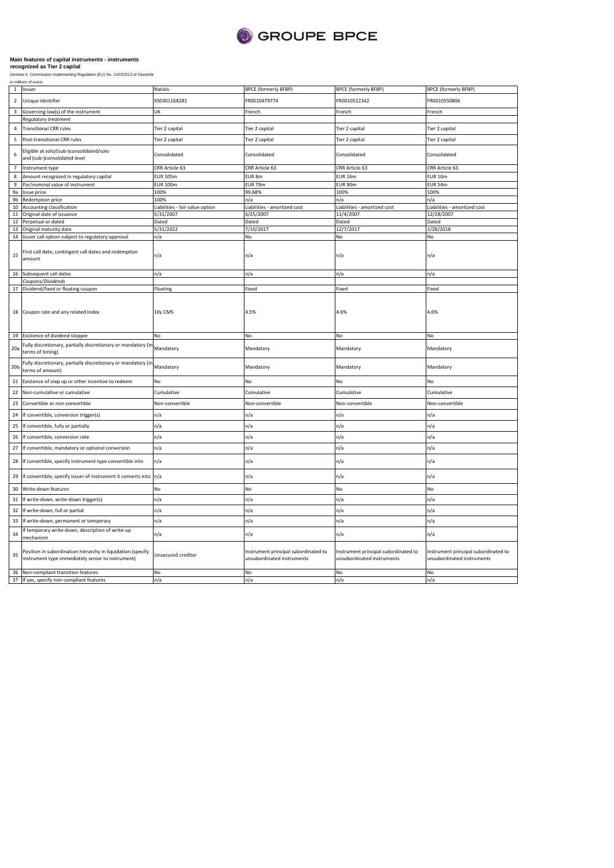

|                 | in millions or euros                                                                                             |                                 |                                                                    |                                                                    |                                                                    |
|-----------------|------------------------------------------------------------------------------------------------------------------|---------------------------------|--------------------------------------------------------------------|--------------------------------------------------------------------|--------------------------------------------------------------------|
|                 | 1 Issuer                                                                                                         | Natixis                         | <b>BPCE (formerly BFBP)</b>                                        | <b>BPCE (formerly BFBP)</b>                                        | <b>BPCE (formerly BFBP)</b>                                        |
| $\overline{2}$  | Unique identifier                                                                                                | XS0301168281                    | FR0010479774                                                       | FR0010522342                                                       | FR0010550806                                                       |
| $\overline{3}$  | Governing law(s) of the instrument                                                                               | UK                              | French                                                             | French                                                             | French                                                             |
|                 | Regulatory treatment                                                                                             |                                 |                                                                    |                                                                    |                                                                    |
| $\overline{4}$  | <b>Transitional CRR rules</b>                                                                                    | Tier 2 capital                  | Tier 2 capital                                                     | Tier 2 capital                                                     | Tier 2 capital                                                     |
| 5               | Post-transitional CRR rules                                                                                      | Tier 2 capital                  | Tier 2 capital                                                     | Tier 2 capital                                                     | Tier 2 capital                                                     |
| 6               | Eligible at solo/(sub-)consolidated/solo<br>and (sub-)consolidated level                                         | Consolidated                    | Consolidated                                                       | Consolidated                                                       | Consolidated                                                       |
| $\overline{7}$  | Instrument type                                                                                                  | CRR Article 63                  | CRR Article 63                                                     | CRR Article 63                                                     | CRR Article 63                                                     |
| 8               | Amount recognized in regulatory capital                                                                          | <b>EUR 105m</b>                 | EUR 8m                                                             | <b>EUR 16m</b>                                                     | <b>EUR 10m</b>                                                     |
| $\overline{9}$  | Par/nominal value of instrument                                                                                  | <b>EUR 100m</b>                 | EUR 79m                                                            | EUR 90m                                                            | <b>EUR 54m</b>                                                     |
| 9a              | Issue price                                                                                                      | 100%                            | 99.68%                                                             | 100%                                                               | 100%                                                               |
| 9b              | Redemption price                                                                                                 | 100%                            | n/a                                                                | n/a                                                                | n/a                                                                |
| 10              | Accounting classification                                                                                        | Liabilities - fair value option | Liabilities - amortized cost                                       | Liabilities - amortized cost                                       | Liabilities - amortized cost                                       |
| 11              | Original date of issuance                                                                                        | 5/31/2007                       | 6/25/2007                                                          | 11/4/2007                                                          | 12/28/2007                                                         |
| 12              | Perpetual or dated                                                                                               | Dated                           | Dated                                                              | Dated                                                              | Dated                                                              |
| 13              | Original maturity date                                                                                           | 5/31/2022                       | 7/10/2017                                                          | 12/7/2017                                                          | 1/28/2018                                                          |
| 14              | Issuer call option subject to regulatory approval                                                                | n/a                             | No                                                                 | No                                                                 | No                                                                 |
|                 |                                                                                                                  |                                 |                                                                    |                                                                    |                                                                    |
| 15              | First call date, contingent call dates and redemption<br>amount                                                  | n/a                             | n/a                                                                | n/a                                                                | n/a                                                                |
| 16              | Subsequent call dates                                                                                            | n/a                             | n/a                                                                | n/a                                                                | n/a                                                                |
|                 | Coupons/Dividends                                                                                                |                                 |                                                                    |                                                                    |                                                                    |
| 17              | Dividend/fixed or floating coupon                                                                                | Floating                        | Fixed                                                              | Fixed                                                              | Fixed                                                              |
| 19              | 18 Coupon rate and any related index<br>Existence of dividend stopper                                            | 10y CMS<br>No                   | 4.5%<br>No                                                         | 4.6%<br>No                                                         | 4.6%<br>No                                                         |
|                 |                                                                                                                  |                                 |                                                                    |                                                                    |                                                                    |
| 20a             | Fully discretionary, partially discretionary or mandatory (in<br>terms of timing)                                | Mandatory                       | Mandatory                                                          | Mandatory                                                          | Mandatory                                                          |
| 20 <sub>b</sub> | Fully discretionary, partially discretionary or mandatory (in<br>terms of amount)                                | Mandatory                       | Mandatory                                                          | Mandatory                                                          | Mandatory                                                          |
| 21              | Existence of step up or other incentive to redeem                                                                | No                              | No                                                                 | No                                                                 | No                                                                 |
| 22              | Non-cumulative or cumulative                                                                                     | Cumulative                      | Cumulative                                                         | Cumulative                                                         | Cumulative                                                         |
| 23              | Convertible or non-convertible                                                                                   | Non-convertible                 | Non-convertible                                                    | Non-convertible                                                    | Non-convertible                                                    |
| 24              | If convertible, conversion trigger(s)                                                                            | n/a                             | n/a                                                                | n/a                                                                | n/a                                                                |
| 25              | If convertible, fully or partially                                                                               | n/a                             | n/a                                                                | n/a                                                                | n/a                                                                |
| 26              | If convertible, conversion rate                                                                                  | n/a                             | n/a                                                                | n/a                                                                | n/a                                                                |
| 27              | If convertible, mandatory or optional conversion                                                                 | n/a                             | n/a                                                                | n/a                                                                | n/a                                                                |
| 28              | If convertible, specify instrument type convertible into                                                         | n/a                             | n/a                                                                | n/a                                                                | n/a                                                                |
| 29              | If convertible, specify issuer of instrument it converts into                                                    | n/a                             | n/a                                                                | n/a                                                                | n/a                                                                |
| 30              | Write-down features                                                                                              | No                              | No                                                                 | No                                                                 | No                                                                 |
| 31              | If write-down, write-down trigger(s)                                                                             | n/a                             | n/a                                                                | n/a                                                                | n/a                                                                |
| 32              | If write-down, full or partial                                                                                   | n/a                             | n/a                                                                | n/a                                                                | n/a                                                                |
| 33              | If write-down, permanent or temporary                                                                            | n/a                             | n/a                                                                | n/a                                                                | n/a                                                                |
| 34              | If temporary write-down, description of write-up<br>nechanism                                                    | n/a                             | n/a                                                                | n/a                                                                | n/a                                                                |
| 35              | Position in subordination hierarchy in liquidation (specify<br>instrument type immediately senior to instrument) | Unsecured creditor              | Instrument principal subordinated to<br>unsubordinated instruments | Instrument principal subordinated to<br>unsubordinated instruments | Instrument principal subordinated to<br>unsubordinated instruments |
| 36              | Non-compliant transition features                                                                                | No                              | No                                                                 | No                                                                 | No                                                                 |
| 37              | If yes, specify non-compliant features                                                                           | n/a                             | n/a                                                                | n/a                                                                | n/a                                                                |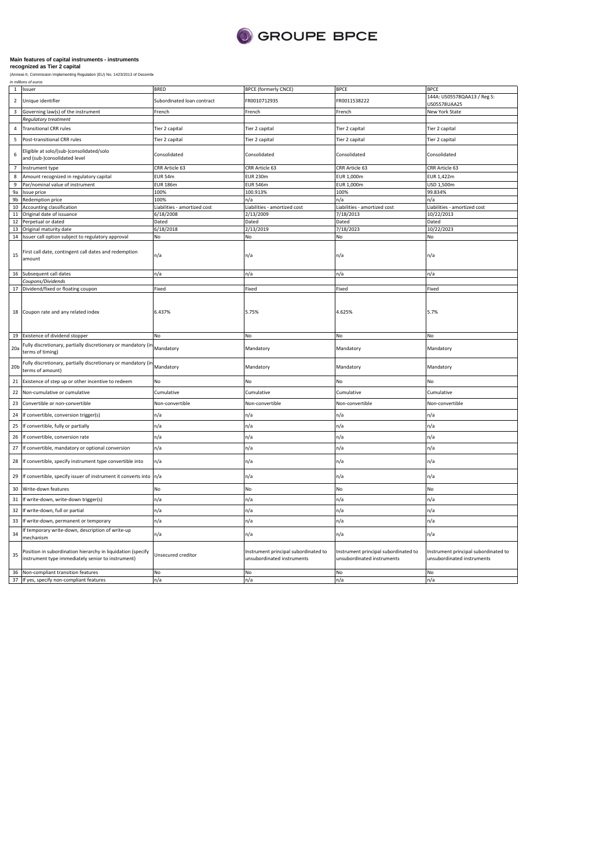

|                 | n miliuwis or euro                                                                                              |                              |                                                                    |                                                                    |                                                                    |
|-----------------|-----------------------------------------------------------------------------------------------------------------|------------------------------|--------------------------------------------------------------------|--------------------------------------------------------------------|--------------------------------------------------------------------|
| $\mathbf{1}$    | Issuer                                                                                                          | <b>BRED</b>                  | <b>BPCE (formerly CNCE)</b>                                        | <b>BPCE</b>                                                        | <b>BPCE</b>                                                        |
| $\overline{2}$  | Unique identifier                                                                                               | Subordinated loan contract   | FR0010712935                                                       | FR0011538222                                                       | 144A: US05578QAA13 / Reg S:<br>US05578UAA25                        |
| $\overline{3}$  | Governing law(s) of the instrument                                                                              | French                       | French                                                             | French                                                             | New York State                                                     |
|                 | Regulatory treatment                                                                                            |                              |                                                                    |                                                                    |                                                                    |
| 4               | <b>Transitional CRR rules</b>                                                                                   | Tier 2 capital               | Tier 2 capital                                                     | Tier 2 capital                                                     | Tier 2 capital                                                     |
| 5               | Post-transitional CRR rules                                                                                     | Tier 2 capital               | Tier 2 capital                                                     | Tier 2 capital                                                     | Tier 2 capital                                                     |
| 6               | Eligible at solo/(sub-)consolidated/solo<br>and (sub-)consolidated level                                        | Consolidated                 | Consolidated                                                       | Consolidated                                                       | Consolidated                                                       |
| $\overline{7}$  | nstrument type                                                                                                  | CRR Article 63               | CRR Article 63                                                     | CRR Article 63                                                     | CRR Article 63                                                     |
| 8               | Amount recognized in regulatory capital                                                                         | EUR 54m                      | <b>EUR 230m</b>                                                    | EUR 1,000m                                                         | EUR 1,422m                                                         |
| 9               | Par/nominal value of instrument                                                                                 | <b>EUR 186m</b>              | <b>EUR 546m</b>                                                    | EUR 1,000m                                                         | USD 1,500m                                                         |
| 9a              | <b>Issue price</b>                                                                                              | 100%                         | 100.913%                                                           | 100%                                                               | 99.834%                                                            |
| 9b              | Redemption price                                                                                                | 100%                         | n/a                                                                | n/a                                                                | n/a                                                                |
| 10              | Accounting classification                                                                                       | Liabilities - amortized cost | Liabilities - amortized cost                                       | Liabilities - amortized cost                                       | Liabilities - amortized cost                                       |
| 11              | Original date of issuance                                                                                       | 6/18/2008                    | 2/13/2009                                                          | 7/18/2013                                                          | 10/22/2013                                                         |
| 12              | Perpetual or dated                                                                                              | Dated                        | Dated                                                              | Dated                                                              | Dated                                                              |
| 13              | Original maturity date                                                                                          | 6/18/2018                    | 2/13/2019                                                          | 7/18/2023                                                          | 10/22/2023                                                         |
| 14              | Issuer call option subject to regulatory approval                                                               | No                           | No                                                                 | No                                                                 | No                                                                 |
|                 |                                                                                                                 |                              |                                                                    |                                                                    |                                                                    |
| 15              | First call date, contingent call dates and redemption<br>amount                                                 | n/a                          | n/a                                                                | n/a                                                                | n/a                                                                |
| 16              | Subsequent call dates                                                                                           | n/a                          | n/a                                                                | n/a                                                                | n/a                                                                |
|                 | Coupons/Dividends                                                                                               |                              |                                                                    |                                                                    |                                                                    |
| 17              | Dividend/fixed or floating coupon                                                                               | Fixed                        | Fixed                                                              | Fixed                                                              | Fixed                                                              |
| 19              | 18 Coupon rate and any related index<br>Existence of dividend stopper                                           | 6.437%<br>No                 | 5.75%<br>No                                                        | 4.625%<br>No                                                       | 5.7%<br>No                                                         |
|                 |                                                                                                                 |                              |                                                                    |                                                                    |                                                                    |
| 20a             | Fully discretionary, partially discretionary or mandatory (ir<br>terms of timing)                               | Mandatory                    | Mandatory                                                          | Mandatory                                                          | Mandatory                                                          |
| 20 <sub>b</sub> | Fully discretionary, partially discretionary or mandatory (in<br>terms of amount)                               | Mandatory                    | Mandatory                                                          | Mandatory                                                          | Mandatory                                                          |
| 21              | Existence of step up or other incentive to redeem                                                               | No                           | No                                                                 | No                                                                 | No                                                                 |
| 22              | Non-cumulative or cumulative                                                                                    | Cumulative                   | Cumulative                                                         | Cumulative                                                         | Cumulative                                                         |
| 23              | Convertible or non-convertible                                                                                  | Non-convertible              | Non-convertible                                                    | Non-convertible                                                    | Non-convertible                                                    |
| 24              | If convertible, conversion trigger(s)                                                                           | n/a                          | n/a                                                                | n/a                                                                | n/a                                                                |
| 25              | If convertible, fully or partially                                                                              | n/a                          | n/a                                                                | n/a                                                                | n/a                                                                |
| 26              | If convertible, conversion rate                                                                                 | n/a                          | n/a                                                                | n/a                                                                | n/a                                                                |
| 27              | If convertible, mandatory or optional conversion                                                                | n/a                          | n/a                                                                | n/a                                                                | n/a                                                                |
| 28              | If convertible, specify instrument type convertible into                                                        | n/a                          | n/a                                                                | n/a                                                                | n/a                                                                |
| 29              | If convertible, specify issuer of instrument it converts into                                                   | n/a                          | n/a                                                                | n/a                                                                | n/a                                                                |
| 30              | Write-down features                                                                                             | No.                          | <b>No</b>                                                          | No                                                                 | No                                                                 |
| 31              | If write-down, write-down trigger(s)                                                                            | n/a                          | n/a                                                                | n/a                                                                | n/a                                                                |
| 32              | If write-down, full or partial                                                                                  | n/a                          | n/a                                                                | n/a                                                                | n/a                                                                |
| 33              | If write-down, permanent or temporary                                                                           | n/a                          | n/a                                                                | n/a                                                                | n/a                                                                |
| 34              | If temporary write-down, description of write-up<br>mechanism                                                   | n/a                          | n/a                                                                | n/a                                                                | n/a                                                                |
| 35              | Position in subordination hierarchy in liquidation (specify<br>nstrument type immediately senior to instrument) | Unsecured creditor           | Instrument principal subordinated to<br>unsubordinated instruments | Instrument principal subordinated to<br>unsubordinated instruments | Instrument principal subordinated to<br>unsubordinated instruments |
| 36              | Non-compliant transition features                                                                               | N <sub>o</sub>               | No                                                                 | No                                                                 | No                                                                 |
|                 | 37 If yes, specify non-compliant features                                                                       | n/a                          | n/a                                                                | n/a                                                                | n/a                                                                |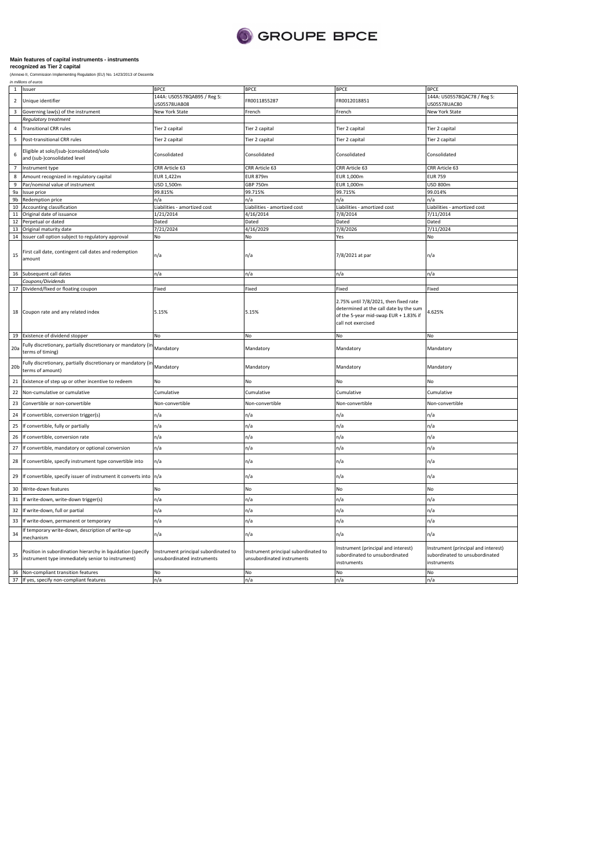

| $\mathbf{1}$            | Issuer                                                                                                           | BPCE                                                               | <b>BPCE</b>                                                        | <b>BPCE</b>                                                                                                                                          | <b>BPCE</b>                                                                          |
|-------------------------|------------------------------------------------------------------------------------------------------------------|--------------------------------------------------------------------|--------------------------------------------------------------------|------------------------------------------------------------------------------------------------------------------------------------------------------|--------------------------------------------------------------------------------------|
| $\overline{2}$          | Unique identifier                                                                                                | 144A: US05578QAB95 / Reg S:<br>JS05578UAB08                        | FR0011855287                                                       | FR0012018851                                                                                                                                         | 144A: US05578QAC78 / Reg S:<br>JS05578UAC80                                          |
| $\overline{\mathbf{3}}$ | Governing law(s) of the instrument                                                                               | New York State                                                     | French                                                             | French                                                                                                                                               | New York State                                                                       |
|                         | Regulatory treatment                                                                                             |                                                                    |                                                                    |                                                                                                                                                      |                                                                                      |
| $\overline{4}$          | <b>Transitional CRR rules</b>                                                                                    | Tier 2 capital                                                     | Tier 2 capital                                                     | Tier 2 capital                                                                                                                                       | Tier 2 capital                                                                       |
| 5                       | Post-transitional CRR rules                                                                                      | Tier 2 capital                                                     | Tier 2 capital                                                     | Tier 2 capital                                                                                                                                       | Tier 2 capital                                                                       |
| 6                       | Eligible at solo/(sub-)consolidated/solo<br>and (sub-)consolidated level                                         | Consolidated                                                       | Consolidated                                                       | Consolidated                                                                                                                                         | Consolidated                                                                         |
| $\overline{7}$          | Instrument type                                                                                                  | CRR Article 63                                                     | CRR Article 63                                                     | CRR Article 63                                                                                                                                       | CRR Article 63                                                                       |
| 8                       | Amount recognized in regulatory capital                                                                          | EUR 1.422m                                                         | <b>EUR 879m</b>                                                    | EUR 1,000m                                                                                                                                           | <b>EUR 759</b>                                                                       |
| $\overline{9}$          | Par/nominal value of instrument                                                                                  | USD 1,500m                                                         | GBP 750m                                                           | <b>EUR 1,000m</b>                                                                                                                                    | USD 800m                                                                             |
| 9a                      | Issue price                                                                                                      | 99.815%                                                            | 99.715%                                                            | 99.715%                                                                                                                                              | 99.014%                                                                              |
| 9b                      | Redemption price                                                                                                 | n/a                                                                | n/a                                                                | n/a                                                                                                                                                  | n/a                                                                                  |
| 10                      | Accounting classification                                                                                        | Liabilities - amortized cost                                       | Liabilities - amortized cost                                       | Liabilities - amortized cost                                                                                                                         | Liabilities - amortized cost                                                         |
| $11\,$                  | Original date of issuance                                                                                        | 1/21/2014                                                          | 4/16/2014                                                          | 7/8/2014                                                                                                                                             | 7/11/2014                                                                            |
| 12                      | Perpetual or dated                                                                                               | Dated                                                              | Dated                                                              | Dated                                                                                                                                                | Dated                                                                                |
| 13                      | Original maturity date                                                                                           | 7/21/2024                                                          | 4/16/2029                                                          | 7/8/2026                                                                                                                                             | 7/11/2024                                                                            |
| 14                      | Issuer call option subject to regulatory approval                                                                | No                                                                 | No                                                                 | Yes                                                                                                                                                  | No                                                                                   |
|                         |                                                                                                                  |                                                                    |                                                                    |                                                                                                                                                      |                                                                                      |
| 15                      | First call date, contingent call dates and redemption<br>amount                                                  | n/a                                                                | n/a                                                                | 7/8/2021 at par                                                                                                                                      | n/a                                                                                  |
| 16                      | Subsequent call dates                                                                                            | n/a                                                                | n/a                                                                | n/a                                                                                                                                                  | n/a                                                                                  |
|                         | Coupons/Dividends                                                                                                |                                                                    |                                                                    |                                                                                                                                                      |                                                                                      |
| 17                      | Dividend/fixed or floating coupon                                                                                | Fixed                                                              | Fixed                                                              | Fixed                                                                                                                                                | Fixed                                                                                |
|                         | 18 Coupon rate and any related index<br>Existence of dividend stopper                                            | 5.15%<br>No                                                        | 5.15%<br>No                                                        | 2.75% until 7/8/2021, then fixed rate<br>determined at the call date by the sum<br>of the 5-year mid-swap EUR + 1.83% if<br>call not exercised<br>No | 4.625%<br>No.                                                                        |
|                         |                                                                                                                  |                                                                    |                                                                    |                                                                                                                                                      |                                                                                      |
| 19                      |                                                                                                                  |                                                                    |                                                                    |                                                                                                                                                      |                                                                                      |
| 20a                     | Fully discretionary, partially discretionary or mandatory (in<br>terms of timing)                                | Mandatory                                                          | Mandatory                                                          | Mandatory                                                                                                                                            | Mandatory                                                                            |
| 20 <sub>b</sub>         | Fully discretionary, partially discretionary or mandatory (in<br>terms of amount)                                | Mandatory                                                          | Mandatory                                                          | Mandatory                                                                                                                                            | Mandatory                                                                            |
| 21                      | Existence of step up or other incentive to redeem                                                                | No                                                                 | No                                                                 | No                                                                                                                                                   | No                                                                                   |
| 22                      | Non-cumulative or cumulative                                                                                     | Cumulative                                                         | Cumulative                                                         | Cumulative                                                                                                                                           | Cumulative                                                                           |
| 23                      | Convertible or non-convertible                                                                                   | Non-convertible                                                    | Non-convertible                                                    | Non-convertible                                                                                                                                      | Non-convertible                                                                      |
| 24                      | If convertible, conversion trigger(s)                                                                            | n/a                                                                | n/a                                                                | n/a                                                                                                                                                  | n/a                                                                                  |
| 25                      | If convertible, fully or partially                                                                               | n/a                                                                | n/a                                                                | n/a                                                                                                                                                  | n/a                                                                                  |
| 26                      | If convertible, conversion rate                                                                                  | n/a                                                                | n/a                                                                | n/a                                                                                                                                                  | n/a                                                                                  |
| 27                      | If convertible, mandatory or optional conversion                                                                 | n/a                                                                | n/a                                                                | n/a                                                                                                                                                  | n/a                                                                                  |
| 28                      | If convertible, specify instrument type convertible into                                                         | n/a                                                                | n/a                                                                | n/a                                                                                                                                                  | n/a                                                                                  |
| 29                      | If convertible, specify issuer of instrument it converts into                                                    | n/a                                                                | n/a                                                                | n/a                                                                                                                                                  | n/a                                                                                  |
| 30                      | Write-down features                                                                                              | No                                                                 | No                                                                 | No                                                                                                                                                   | No                                                                                   |
| 31                      | If write-down, write-down trigger(s)                                                                             | n/a                                                                | n/a                                                                | n/a                                                                                                                                                  | n/a                                                                                  |
| 32                      | If write-down, full or partial                                                                                   | n/a                                                                | n/a                                                                | n/a                                                                                                                                                  | n/a                                                                                  |
| 33                      | If write-down, permanent or temporary                                                                            | n/a                                                                | n/a                                                                | n/a                                                                                                                                                  | n/a                                                                                  |
| 34                      | If temporary write-down, description of write-up<br>mechanism                                                    | n/a                                                                | n/a                                                                | n/a                                                                                                                                                  | n/a                                                                                  |
| 35                      | Position in subordination hierarchy in liquidation (specify<br>instrument type immediately senior to instrument) | Instrument principal subordinated to<br>unsubordinated instruments | Instrument principal subordinated to<br>unsubordinated instruments | Instrument (principal and interest)<br>subordinated to unsubordinated<br>instruments                                                                 | Instrument (principal and interest)<br>subordinated to unsubordinated<br>instruments |
| 36                      | Non-compliant transition features<br>37 If yes, specify non-compliant features                                   | No.<br>n/a                                                         | No<br>n/a                                                          | No<br>n/a                                                                                                                                            | No<br>n/a                                                                            |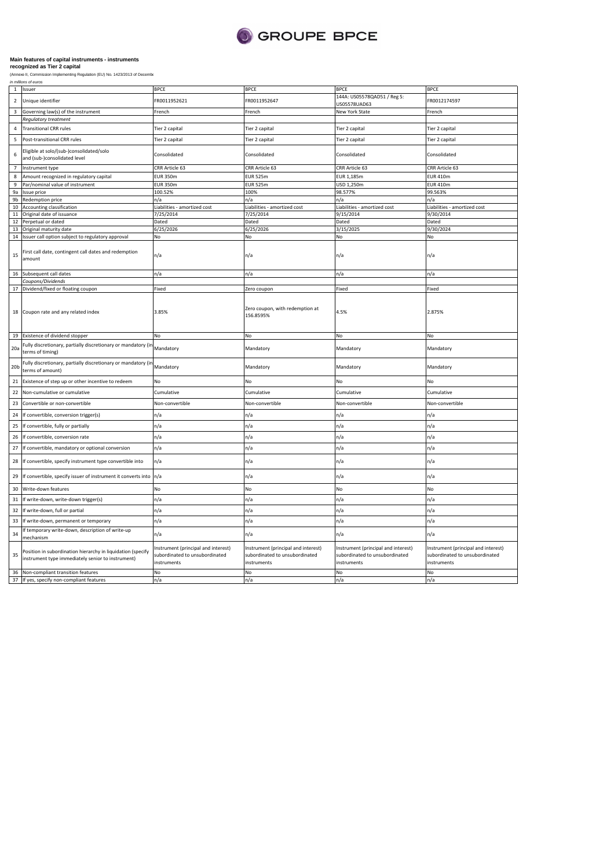

| (WILLIAM II' COLLILIUSSI |  |
|--------------------------|--|
| in millions of euros     |  |

| $\mathbf 1$     | Issuer                                                                                                           | <b>BPCE</b>                                                                          | <b>BPCE</b>                                                                          | <b>BPCE</b>                                                                          | <b>BPCE</b>                                                                          |
|-----------------|------------------------------------------------------------------------------------------------------------------|--------------------------------------------------------------------------------------|--------------------------------------------------------------------------------------|--------------------------------------------------------------------------------------|--------------------------------------------------------------------------------------|
| $\overline{2}$  | Unique identifier                                                                                                | FR0011952621                                                                         | FR0011952647                                                                         | 144A: US05578QAD51 / Reg S:<br>JS05578UAD63                                          | FR0012174597                                                                         |
| 3               | Governing law(s) of the instrument                                                                               | French                                                                               | French                                                                               | New York State                                                                       | French                                                                               |
|                 | Regulatory treatment                                                                                             |                                                                                      |                                                                                      |                                                                                      |                                                                                      |
| 4               | <b>Transitional CRR rules</b>                                                                                    | Tier 2 capital                                                                       | Tier 2 capital                                                                       | Tier 2 capital                                                                       | Tier 2 capital                                                                       |
| 5               | Post-transitional CRR rules                                                                                      | Tier 2 capital                                                                       | Tier 2 capital                                                                       | Tier 2 capital                                                                       | Tier 2 capital                                                                       |
| 6               | Eligible at solo/(sub-)consolidated/solo<br>and (sub-)consolidated level                                         | Consolidated                                                                         | Consolidated                                                                         | Consolidated                                                                         | Consolidated                                                                         |
| $\overline{7}$  | Instrument type                                                                                                  | CRR Article 63                                                                       | CRR Article 63                                                                       | CRR Article 63                                                                       | CRR Article 63                                                                       |
| 8               | Amount recognized in regulatory capital                                                                          | <b>EUR 350m</b>                                                                      | <b>EUR 525m</b>                                                                      | EUR 1,185m                                                                           | <b>EUR 410m</b>                                                                      |
| 9               | Par/nominal value of instrument                                                                                  | <b>EUR 350m</b>                                                                      | <b>EUR 525m</b>                                                                      | USD 1,250m                                                                           | <b>EUR 410m</b>                                                                      |
| 9a              | Issue price                                                                                                      | 100.52%                                                                              | 100%                                                                                 | 98.577%                                                                              | 99.563%                                                                              |
| 9 <sub>b</sub>  | Redemption price                                                                                                 | n/a                                                                                  | n/a                                                                                  | n/a                                                                                  | n/a                                                                                  |
| 10              | Accounting classification                                                                                        | Liabilities - amortized cost                                                         | Liabilities - amortized cost                                                         | Liabilities - amortized cost                                                         | Liabilities - amortized cost                                                         |
| 11              | Original date of issuance                                                                                        | 7/25/2014                                                                            | 7/25/2014                                                                            | 9/15/2014                                                                            | 9/30/2014                                                                            |
| 12              | Perpetual or dated                                                                                               | Dated                                                                                | Dated                                                                                | Dated                                                                                | Dated                                                                                |
| 13              | Original maturity date                                                                                           | 6/25/2026                                                                            | 6/25/2026                                                                            | 3/15/2025                                                                            | 9/30/2024                                                                            |
|                 | 14 Issuer call option subject to regulatory approval                                                             | No                                                                                   | No                                                                                   | No                                                                                   | No                                                                                   |
| 15              | First call date, contingent call dates and redemption<br>amount                                                  | n/a                                                                                  | n/a                                                                                  | n/a                                                                                  | n/a                                                                                  |
|                 | 16 Subsequent call dates                                                                                         | n/a                                                                                  | n/a                                                                                  | n/a                                                                                  | n/a                                                                                  |
|                 | Coupons/Dividends                                                                                                |                                                                                      |                                                                                      |                                                                                      |                                                                                      |
|                 | 17 Dividend/fixed or floating coupon                                                                             | Fixed                                                                                | Zero coupon                                                                          | Fixed                                                                                | Fixed                                                                                |
|                 | 18 Coupon rate and any related index                                                                             | 3.85%                                                                                | Zero coupon, with redemption at<br>156.8595%                                         | 4.5%                                                                                 | 2.875%                                                                               |
|                 | 19 Existence of dividend stopper                                                                                 | No                                                                                   | No                                                                                   | No                                                                                   | No                                                                                   |
| 20a             | Fully discretionary, partially discretionary or mandatory (in<br>terms of timing)                                | Mandatory                                                                            | Mandatory                                                                            | Mandatory                                                                            | Mandatory                                                                            |
| 20 <sub>b</sub> | Fully discretionary, partially discretionary or mandatory (in<br>terms of amount)                                | Mandatory                                                                            | Mandatory                                                                            | Mandatory                                                                            | Mandatory                                                                            |
| 21              | Existence of step up or other incentive to redeem                                                                | No                                                                                   | No                                                                                   | No                                                                                   | No                                                                                   |
| 22              | Non-cumulative or cumulative                                                                                     | Cumulative                                                                           | Cumulative                                                                           | Cumulative                                                                           | Cumulative                                                                           |
| 23              | Convertible or non-convertible                                                                                   | Non-convertible                                                                      | Non-convertible                                                                      | Non-convertible                                                                      | Non-convertible                                                                      |
| 24              | If convertible, conversion trigger(s)                                                                            | n/a                                                                                  | n/a                                                                                  | n/a                                                                                  | n/a                                                                                  |
| 25              | If convertible, fully or partially                                                                               | n/a                                                                                  | n/a                                                                                  | n/a                                                                                  | n/a                                                                                  |
| 26              | If convertible, conversion rate                                                                                  | n/a                                                                                  | n/a                                                                                  | n/a                                                                                  | n/a                                                                                  |
| 27              | If convertible, mandatory or optional conversion                                                                 | n/a                                                                                  | n/a                                                                                  | n/a                                                                                  | n/a                                                                                  |
| 28              | If convertible, specify instrument type convertible into                                                         | n/a                                                                                  | n/a                                                                                  | n/a                                                                                  | n/a                                                                                  |
| 29              | If convertible, specify issuer of instrument it converts into n/a                                                |                                                                                      | n/a                                                                                  | n/a                                                                                  | n/a                                                                                  |
| 30              | Write-down features                                                                                              | No                                                                                   | No                                                                                   | No                                                                                   | No                                                                                   |
| 31              | If write-down, write-down trigger(s)                                                                             | n/a                                                                                  | n/a                                                                                  | n/a                                                                                  | n/a                                                                                  |
| 32              | If write-down, full or partial                                                                                   | n/a                                                                                  | n/a                                                                                  | n/a                                                                                  | n/a                                                                                  |
| 33              | If write-down, permanent or temporary                                                                            | n/a                                                                                  | n/a                                                                                  | n/a                                                                                  | n/a                                                                                  |
| 34              | If temporary write-down, description of write-up<br>mechanism                                                    | n/a                                                                                  | n/a                                                                                  | n/a                                                                                  | n/a                                                                                  |
| 35              | Position in subordination hierarchy in liquidation (specify<br>instrument type immediately senior to instrument) | Instrument (principal and interest)<br>subordinated to unsubordinated<br>instruments | Instrument (principal and interest)<br>subordinated to unsubordinated<br>instruments | Instrument (principal and interest)<br>subordinated to unsubordinated<br>instruments | Instrument (principal and interest)<br>subordinated to unsubordinated<br>instruments |
| 36              | Non-compliant transition features                                                                                | No                                                                                   | No                                                                                   | No                                                                                   | No                                                                                   |
|                 | 37 If yes, specify non-compliant features                                                                        | n/a                                                                                  | n/a                                                                                  | n/a                                                                                  | n/a                                                                                  |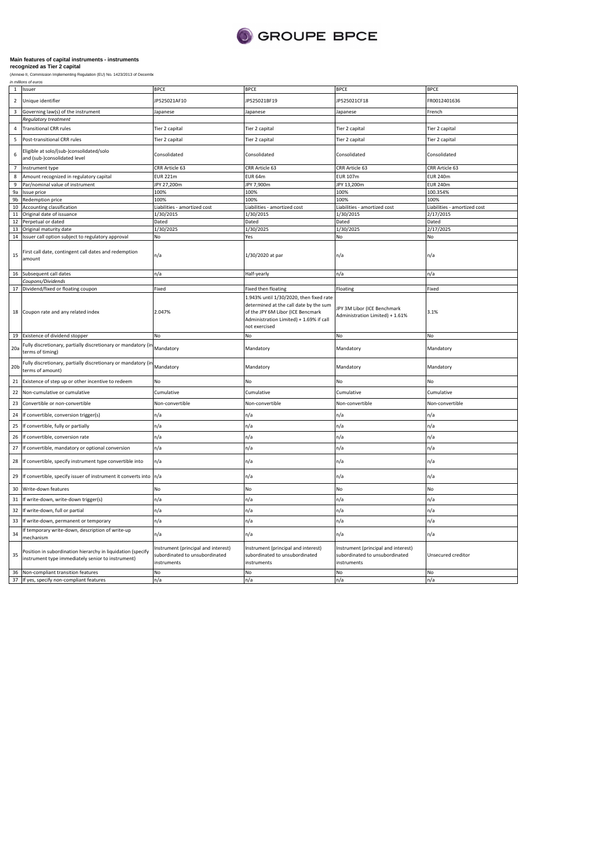

|                         | in millions or euros                                                                                             |                                                                                      |                                                                                                                                                                                    |                                                                                      |                              |
|-------------------------|------------------------------------------------------------------------------------------------------------------|--------------------------------------------------------------------------------------|------------------------------------------------------------------------------------------------------------------------------------------------------------------------------------|--------------------------------------------------------------------------------------|------------------------------|
| $\mathbf{1}$            | Issuer                                                                                                           | <b>BPCE</b>                                                                          | <b>BPCE</b>                                                                                                                                                                        | <b>BPCE</b>                                                                          | <b>BPCE</b>                  |
| $\overline{2}$          | Unique identifier                                                                                                | JP525021AF10                                                                         | JP525021BF19                                                                                                                                                                       | JP525021CF18                                                                         | FR0012401636                 |
| $\overline{\mathbf{3}}$ | Governing law(s) of the instrument                                                                               | lapanese                                                                             | Japanese                                                                                                                                                                           | lapanese                                                                             | French                       |
|                         | Regulatory treatment                                                                                             |                                                                                      |                                                                                                                                                                                    |                                                                                      |                              |
| $\overline{4}$          | <b>Transitional CRR rules</b>                                                                                    | Tier 2 capital                                                                       | Tier 2 capital                                                                                                                                                                     | Tier 2 capital                                                                       | Tier 2 capital               |
| 5                       | Post-transitional CRR rules                                                                                      | Tier 2 capital                                                                       | Tier 2 capital                                                                                                                                                                     | Tier 2 capital                                                                       | Tier 2 capital               |
| 6                       | Eligible at solo/(sub-)consolidated/solo<br>and (sub-)consolidated level                                         | Consolidated                                                                         | Consolidated                                                                                                                                                                       | Consolidated                                                                         | Consolidated                 |
| $\overline{7}$          | Instrument type                                                                                                  | CRR Article 63                                                                       | CRR Article 63                                                                                                                                                                     | CRR Article 63                                                                       | CRR Article 63               |
| 8                       | Amount recognized in regulatory capital                                                                          | <b>EUR 221m</b>                                                                      | EUR 64m                                                                                                                                                                            | <b>EUR 107m</b>                                                                      | <b>EUR 240m</b>              |
| 9                       | Par/nominal value of instrument                                                                                  | JPY 27,200m                                                                          | JPY 7,900m                                                                                                                                                                         | JPY 13,200m                                                                          | <b>EUR 240m</b>              |
| 9a                      | Issue price                                                                                                      | 100%                                                                                 | 100%                                                                                                                                                                               | 100%                                                                                 | 100.354%                     |
| 9b                      | Redemption price                                                                                                 | 100%                                                                                 | 100%                                                                                                                                                                               | 100%                                                                                 | 100%                         |
| 10                      | Accounting classification                                                                                        | Liabilities - amortized cost                                                         | Liabilities - amortized cost                                                                                                                                                       | Liabilities - amortized cost                                                         | Liabilities - amortized cost |
| 11                      | Original date of issuance                                                                                        | 1/30/2015                                                                            | 1/30/2015                                                                                                                                                                          | 1/30/2015                                                                            | 2/17/2015                    |
| 12                      | Perpetual or dated                                                                                               | Dated                                                                                | Dated                                                                                                                                                                              | Dated                                                                                | Dated                        |
| 13                      | Original maturity date                                                                                           | 1/30/2025                                                                            | 1/30/2025                                                                                                                                                                          | 1/30/2025                                                                            | 2/17/2025                    |
| 14                      | Issuer call option subject to regulatory approval                                                                | No                                                                                   | Yes                                                                                                                                                                                | No                                                                                   | No                           |
| 15                      | First call date, contingent call dates and redemption<br>amount                                                  | n/a                                                                                  | 1/30/2020 at par                                                                                                                                                                   | n/a                                                                                  | n/a                          |
|                         |                                                                                                                  |                                                                                      |                                                                                                                                                                                    |                                                                                      |                              |
| 16                      | Subsequent call dates                                                                                            | n/a                                                                                  | Half-yearly                                                                                                                                                                        | n/a                                                                                  | n/a                          |
|                         | Coupons/Dividends                                                                                                |                                                                                      |                                                                                                                                                                                    |                                                                                      |                              |
| 17                      | Dividend/fixed or floating coupon                                                                                | Fixed                                                                                | Fixed then floating                                                                                                                                                                | Floating                                                                             | Fixed                        |
|                         | 18 Coupon rate and any related index                                                                             | 2.047%                                                                               | 1.943% until 1/30/2020, then fixed rate<br>determined at the call date by the sum<br>of the JPY 6M Libor (ICE Bencmark<br>Administration Limited) + 1.69% if call<br>not exercised | JPY 3M Libor (ICE Benchmark<br>Administration Limited) + 1.61%                       | 3.1%                         |
| 19                      | Existence of dividend stopper                                                                                    | No                                                                                   | No                                                                                                                                                                                 | No                                                                                   | No                           |
| 20a                     | Fully discretionary, partially discretionary or mandatory (ir<br>terms of timing)                                | Mandatory                                                                            | Mandatory                                                                                                                                                                          | Mandatory                                                                            | Mandatory                    |
| 20 <sub>b</sub>         | Fully discretionary, partially discretionary or mandatory (in<br>terms of amount)                                | Mandatory                                                                            | Mandatory                                                                                                                                                                          | Mandatory                                                                            | Mandatory                    |
| 21                      | Existence of step up or other incentive to redeem                                                                | No                                                                                   | No                                                                                                                                                                                 | No                                                                                   | No                           |
| 22                      | Non-cumulative or cumulative                                                                                     | Cumulative                                                                           | Cumulative                                                                                                                                                                         | Cumulative                                                                           | Cumulative                   |
| 23                      | Convertible or non-convertible                                                                                   | Non-convertible                                                                      | Non-convertible                                                                                                                                                                    | Non-convertible                                                                      | Non-convertible              |
| 24                      | If convertible, conversion trigger(s)                                                                            | n/a                                                                                  | n/a                                                                                                                                                                                | n/a                                                                                  | n/a                          |
| 25                      | If convertible, fully or partially                                                                               | n/a                                                                                  | n/a                                                                                                                                                                                | n/a                                                                                  | n/a                          |
| 26                      | If convertible, conversion rate                                                                                  | n/a                                                                                  | n/a                                                                                                                                                                                | n/a                                                                                  | n/a                          |
| 27                      | If convertible, mandatory or optional conversion                                                                 | n/a                                                                                  | n/a                                                                                                                                                                                | n/a                                                                                  | n/a                          |
| 28                      | If convertible, specify instrument type convertible into                                                         | n/a                                                                                  | n/a                                                                                                                                                                                | n/a                                                                                  | n/a                          |
| 29                      | If convertible, specify issuer of instrument it converts into                                                    | n/a                                                                                  | n/a                                                                                                                                                                                | n/a                                                                                  | n/a                          |
| 30                      | Write-down features                                                                                              | No                                                                                   | No                                                                                                                                                                                 | No                                                                                   | No                           |
| 31                      | If write-down, write-down trigger(s)                                                                             | n/a                                                                                  | n/a                                                                                                                                                                                | n/a                                                                                  | n/a                          |
| 32                      | If write-down, full or partial                                                                                   | n/a                                                                                  | n/a                                                                                                                                                                                | n/a                                                                                  | n/a                          |
| 33                      | If write-down, permanent or temporary                                                                            | n/a                                                                                  | n/a                                                                                                                                                                                | n/a                                                                                  | n/a                          |
| 34                      | f temporary write-down, description of write-up<br>mechanism                                                     | n/a                                                                                  | n/a                                                                                                                                                                                | n/a                                                                                  | n/a                          |
| 35                      | Position in subordination hierarchy in liquidation (specify<br>instrument type immediately senior to instrument) | Instrument (principal and interest)<br>subordinated to unsubordinated<br>instruments | Instrument (principal and interest)<br>subordinated to unsubordinated<br>instruments                                                                                               | Instrument (principal and interest)<br>subordinated to unsubordinated<br>instruments | Unsecured creditor           |
| 36                      | Non-compliant transition features                                                                                | No                                                                                   | No                                                                                                                                                                                 | No                                                                                   | No                           |
|                         | 37 If yes, specify non-compliant features                                                                        | n/a                                                                                  | n/a                                                                                                                                                                                | n/a                                                                                  | n/a                          |
|                         |                                                                                                                  |                                                                                      |                                                                                                                                                                                    |                                                                                      |                              |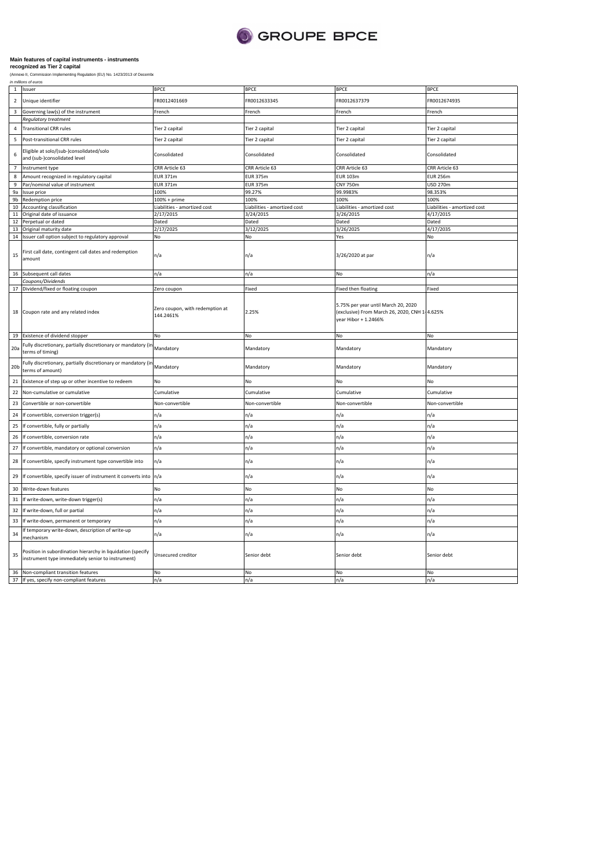

|                 | in millions of euros                                                                                             |                                              |                              |                                                                                                              |                              |
|-----------------|------------------------------------------------------------------------------------------------------------------|----------------------------------------------|------------------------------|--------------------------------------------------------------------------------------------------------------|------------------------------|
| $\overline{1}$  | Issuer                                                                                                           | <b>BPCE</b>                                  | <b>BPCE</b>                  | <b>BPCE</b>                                                                                                  | <b>BPCE</b>                  |
| $\overline{2}$  | Unique identifier                                                                                                | FR0012401669                                 | FR0012633345                 | FR0012637379                                                                                                 | FR0012674935                 |
| 3               | Governing law(s) of the instrument                                                                               | French                                       | French                       | French                                                                                                       | French                       |
|                 | Regulatory treatment                                                                                             |                                              |                              |                                                                                                              |                              |
| $\overline{4}$  | <b>Transitional CRR rules</b>                                                                                    | Tier 2 capital                               | Tier 2 capital               | Tier 2 capital                                                                                               | Tier 2 capital               |
| 5               | Post-transitional CRR rules                                                                                      | Tier 2 capital                               | Tier 2 capital               | Tier 2 capital                                                                                               | Tier 2 capital               |
| 6               | Eligible at solo/(sub-)consolidated/solo<br>and (sub-)consolidated level                                         | Consolidated                                 | Consolidated                 | Consolidated                                                                                                 | Consolidated                 |
| $\overline{7}$  | Instrument type                                                                                                  | CRR Article 63                               | CRR Article 63               | CRR Article 63                                                                                               | CRR Article 63               |
| 8               | Amount recognized in regulatory capital                                                                          | <b>EUR 371m</b>                              | EUR 375m                     | <b>EUR 103m</b>                                                                                              | <b>EUR 256m</b>              |
| 9               | Par/nominal value of instrument                                                                                  | <b>EUR 371m</b>                              | <b>EUR 375m</b>              | <b>CNY 750m</b>                                                                                              | <b>USD 270m</b>              |
| 9a              | Issue price                                                                                                      | 100%                                         | 99.27%                       | 99.9983%                                                                                                     | 98.353%                      |
| 9b              | Redemption price                                                                                                 | 100% + prime                                 | 100%                         | 100%                                                                                                         | 100%                         |
| $10\,$          | <b>Accounting classification</b>                                                                                 | Liabilities - amortized cost                 | Liabilities - amortized cost | Liabilities - amortized cost                                                                                 | Liabilities - amortized cost |
| $11\,$          | Original date of issuance                                                                                        | 2/17/2015                                    | 3/24/2015                    | 3/26/2015                                                                                                    | 4/17/2015                    |
| 12              | Perpetual or dated                                                                                               | Dated                                        | Dated                        | Dated                                                                                                        | Dated                        |
| 13              | Original maturity date                                                                                           | 2/17/2025                                    | 3/12/2025                    | 3/26/2025                                                                                                    | 4/17/2035                    |
| 14              | Issuer call option subject to regulatory approval                                                                | No                                           | No                           | Yes                                                                                                          | No                           |
| 15              | irst call date, contingent call dates and redemption<br>amount                                                   | n/a                                          | n/a                          | 3/26/2020 at par                                                                                             | n/a                          |
| 16              | Subsequent call dates                                                                                            | n/a                                          | n/a                          | No                                                                                                           | n/a                          |
|                 | coupons/Dividends                                                                                                |                                              |                              |                                                                                                              |                              |
| 17              | Dividend/fixed or floating coupon                                                                                | Zero coupon                                  | Fixed                        | Fixed then floating                                                                                          | Fixed                        |
|                 | 18 Coupon rate and any related index                                                                             | Zero coupon, with redemption at<br>144.2461% | 2.25%                        | 5.75% per year until March 20, 2020<br>(exclusive) From March 26, 2020, CNH 1-4.625%<br>year Hibor + 1.2466% |                              |
| 19              | Existence of dividend stopper                                                                                    | No                                           | No                           | No                                                                                                           | No                           |
| 20a             | Fully discretionary, partially discretionary or mandatory (ir<br>terms of timing)                                | Mandatory                                    | Mandatory                    | Mandatory                                                                                                    | Mandatory                    |
| 20 <sub>b</sub> | Fully discretionary, partially discretionary or mandatory (ir<br>terms of amount)                                | Mandatory                                    | Mandatory                    | Mandatory                                                                                                    | Mandatory                    |
| 21              | Existence of step up or other incentive to redeem                                                                | No.                                          | No                           | No                                                                                                           | No                           |
| 22              | Non-cumulative or cumulative                                                                                     | Cumulative                                   | Cumulative                   | Cumulative                                                                                                   | Cumulative                   |
| 23              | Convertible or non-convertible                                                                                   | Non-convertible                              | Non-convertible              | Non-convertible                                                                                              | Non-convertible              |
| 24              | If convertible, conversion trigger(s)                                                                            | n/a                                          | n/a                          | n/a                                                                                                          | n/a                          |
| 25              | If convertible, fully or partially                                                                               | n/a                                          | n/a                          | n/a                                                                                                          | n/a                          |
| 26              | If convertible, conversion rate                                                                                  | n/a                                          | n/a                          | n/a                                                                                                          | n/a                          |
| 27              | If convertible, mandatory or optional conversion                                                                 | n/a                                          | n/a                          | n/a                                                                                                          | n/a                          |
| 28              | If convertible, specify instrument type convertible into                                                         | n/a                                          | n/a                          | ٦/a                                                                                                          | n/a                          |
| 29              | If convertible, specify issuer of instrument it converts into                                                    | n/a                                          | n/a                          | n/a                                                                                                          | n/a                          |
| 30              | Write-down features                                                                                              | N <sub>o</sub>                               | No                           | No                                                                                                           | No                           |
| 31              | If write-down, write-down trigger(s)                                                                             | n/a                                          | n/a                          | n/a                                                                                                          | n/a                          |
| 32              | If write-down, full or partial                                                                                   | n/a                                          | n/a                          | n/a                                                                                                          | n/a                          |
| 33              | If write-down, permanent or temporary                                                                            | n/a                                          | n/a                          | n/a                                                                                                          | n/a                          |
| 34              | If temporary write-down, description of write-up<br>mechanism                                                    | n/a                                          | n/a                          | n/a                                                                                                          | n/a                          |
| 35              | Position in subordination hierarchy in liquidation (specify<br>instrument type immediately senior to instrument) | Unsecured creditor                           | Senior debt                  | Senior debt                                                                                                  | Senior debt                  |
| 36              | Non-compliant transition features                                                                                | No                                           | No                           | No                                                                                                           | No                           |
|                 | 37 If yes, specify non-compliant features                                                                        | n/a                                          | n/a                          | n/a                                                                                                          | n/a                          |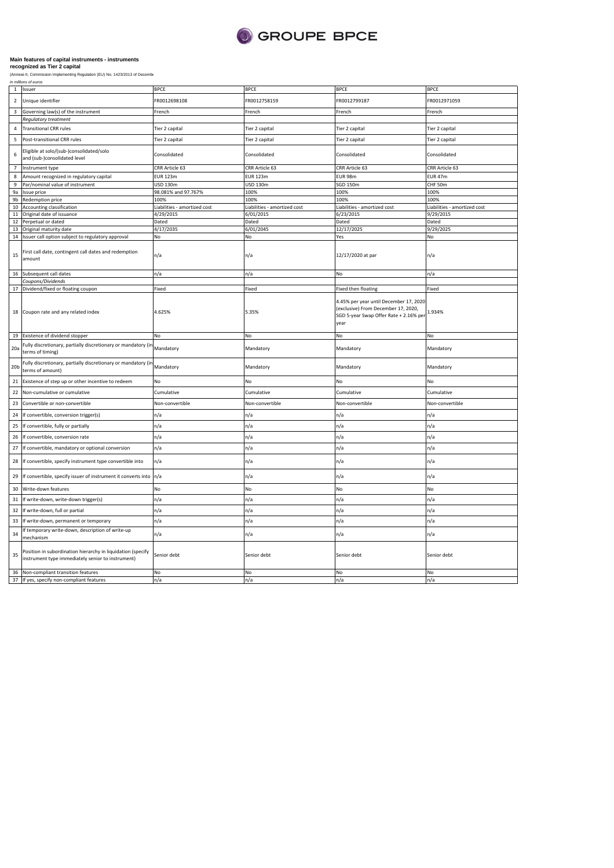

|                         | 1 Issuer                                                                                                         | <b>BPCE</b>                  | <b>BPCE</b>                  | <b>BPCE</b>                                                                                                                     | <b>BPCE</b>                  |
|-------------------------|------------------------------------------------------------------------------------------------------------------|------------------------------|------------------------------|---------------------------------------------------------------------------------------------------------------------------------|------------------------------|
| $\overline{2}$          | Unique identifier                                                                                                | FR0012698108                 | FR0012758159                 | FR0012799187                                                                                                                    | FR0012971059                 |
| $\overline{\mathbf{3}}$ | Governing law(s) of the instrument                                                                               | French                       | French                       | French                                                                                                                          | French                       |
|                         | Regulatory treatment                                                                                             |                              |                              |                                                                                                                                 |                              |
| $\overline{4}$          | <b>Transitional CRR rules</b>                                                                                    | Tier 2 capital               | Tier 2 capital               | Tier 2 capital                                                                                                                  | Tier 2 capital               |
| 5                       | Post-transitional CRR rules                                                                                      | Tier 2 capital               | Tier 2 capital               | Tier 2 capital                                                                                                                  | Tier 2 capital               |
| 6                       | Eligible at solo/(sub-)consolidated/solo<br>and (sub-)consolidated level                                         | Consolidated                 | Consolidated                 | Consolidated                                                                                                                    | Consolidated                 |
| $\overline{7}$          | Instrument type                                                                                                  | CRR Article 63               | CRR Article 63               | CRR Article 63                                                                                                                  | CRR Article 63               |
| 8                       | Amount recognized in regulatory capital                                                                          | <b>EUR 123m</b>              | <b>EUR 123m</b>              | <b>EUR 98m</b>                                                                                                                  | <b>EUR 47m</b>               |
| 9                       | Par/nominal value of instrument                                                                                  | USD 130m                     | <b>USD 130m</b>              | SGD 150m                                                                                                                        | CHF 50m                      |
| 9a                      | Issue price                                                                                                      | 98.081% and 97.767%          | 100%                         | 100%                                                                                                                            | 100%                         |
| 9b                      | Redemption price                                                                                                 | 100%                         | 100%                         | 100%                                                                                                                            | 100%                         |
| 10                      | Accounting classification                                                                                        | Liabilities - amortized cost | Liabilities - amortized cost | Liabilities - amortized cost                                                                                                    | Liabilities - amortized cost |
| 11                      | Original date of issuance                                                                                        | 4/29/2015                    | 6/01/2015                    | 6/23/2015                                                                                                                       | 9/29/2015                    |
| 12                      | Perpetual or dated                                                                                               | Dated                        | Dated                        | Dated                                                                                                                           | Dated                        |
| 13                      | Original maturity date                                                                                           | 4/17/2035                    | 6/01/2045                    | 12/17/2025                                                                                                                      | 9/29/2025                    |
|                         | 14 Issuer call option subject to regulatory approval                                                             | No                           | No                           | Yes                                                                                                                             | No                           |
|                         |                                                                                                                  |                              |                              |                                                                                                                                 |                              |
| 15                      | First call date, contingent call dates and redemption<br>amount                                                  | n/a                          | n/a                          | 12/17/2020 at par                                                                                                               | n/a                          |
|                         | 16 Subsequent call dates                                                                                         | n/a                          | n/a                          | No                                                                                                                              | n/a                          |
|                         | Coupons/Dividends                                                                                                |                              |                              |                                                                                                                                 |                              |
| 17                      | Dividend/fixed or floating coupon                                                                                | Fixed                        | Fixed                        | <b>Fixed then floating</b>                                                                                                      | Fixed                        |
|                         | 18 Coupon rate and any related index                                                                             | 4.625%                       | 5.35%                        | 4.45% per year until December 17, 2020<br>(exclusive) From December 17, 2020,<br>SGD 5-year Swap Offer Rate + 2.16% per<br>year | 1.934%                       |
| 19                      | Existence of dividend stopper                                                                                    | No                           | No                           | No                                                                                                                              | No                           |
|                         |                                                                                                                  |                              |                              |                                                                                                                                 |                              |
| 20a                     | Fully discretionary, partially discretionary or mandatory (in<br>terms of timing)                                | Mandatory                    | Mandatory                    | Mandatory                                                                                                                       | Mandatory                    |
| 20 <sub>b</sub>         | Fully discretionary, partially discretionary or mandatory (in<br>terms of amount)                                | Mandatory                    | Mandatory                    | Mandatory                                                                                                                       | Mandatory                    |
| 21                      | Existence of step up or other incentive to redeem                                                                | N <sub>o</sub>               | No                           | No                                                                                                                              | No                           |
| 22                      | Non-cumulative or cumulative                                                                                     | Cumulative                   | Cumulative                   | Cumulative                                                                                                                      | Cumulative                   |
| 23                      | Convertible or non-convertible                                                                                   | Non-convertible              | Non-convertible              | Non-convertible                                                                                                                 | Non-convertible              |
| 24                      | If convertible, conversion trigger(s)                                                                            | n/a                          | n/a                          | n/a                                                                                                                             | n/a                          |
| 25                      | If convertible, fully or partially                                                                               | n/a                          | n/a                          | n/a                                                                                                                             | n/a                          |
| 26                      | If convertible, conversion rate                                                                                  | n/a                          | n/a                          | n/a                                                                                                                             | n/a                          |
| 27                      | If convertible, mandatory or optional conversion                                                                 | n/a                          | n/a                          | n/a                                                                                                                             | n/a                          |
| 28                      | If convertible, specify instrument type convertible into                                                         | n/a                          | n/a                          | n/a                                                                                                                             | n/a                          |
| 29                      | If convertible, specify issuer of instrument it converts into n/a                                                |                              | n/a                          | n/a                                                                                                                             | n/a                          |
| 30                      | Write-down features                                                                                              | N <sub>o</sub>               | <b>No</b>                    | N <sub>o</sub>                                                                                                                  | No                           |
| 31                      | If write-down, write-down trigger(s)                                                                             | n/a                          | n/a                          | n/a                                                                                                                             | n/a                          |
| 32                      | If write-down, full or partial                                                                                   | n/a                          | n/a                          | n/a                                                                                                                             | n/a                          |
| 33                      | If write-down, permanent or temporary                                                                            | n/a                          | n/a                          | n/a                                                                                                                             | n/a                          |
| 34                      | If temporary write-down, description of write-up<br>mechanism                                                    | n/a                          | n/a                          | n/a                                                                                                                             | n/a                          |
| 35                      | Position in subordination hierarchy in liquidation (specify<br>instrument type immediately senior to instrument) | Senior debt                  | Senior debt                  | Senior debt                                                                                                                     | Senior debt                  |
| 36                      | Non-compliant transition features<br>37 If yes, specify non-compliant features                                   | No<br>n/a                    | No<br>n/a                    | No<br>n/a                                                                                                                       | No<br>n/a                    |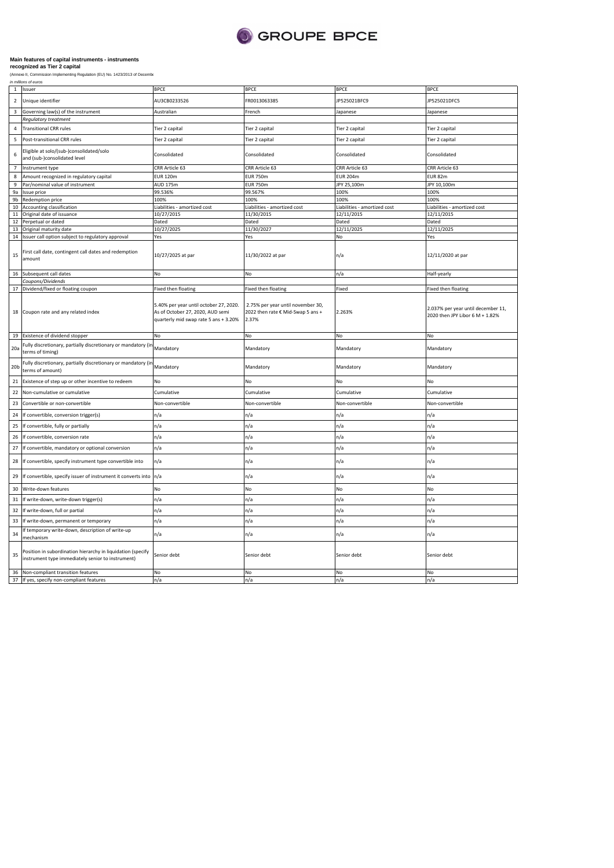

|                 | in millions of euros                                                                                             |                                                                                                                     |                                                                                 |                              |                                                                       |
|-----------------|------------------------------------------------------------------------------------------------------------------|---------------------------------------------------------------------------------------------------------------------|---------------------------------------------------------------------------------|------------------------------|-----------------------------------------------------------------------|
| $\overline{1}$  | Issuer                                                                                                           | <b>BPCE</b>                                                                                                         | <b>BPCE</b>                                                                     | <b>BPCE</b>                  | <b>BPCE</b>                                                           |
| $\overline{2}$  | Unique identifier                                                                                                | AU3CB0233526                                                                                                        | FR0013063385                                                                    | P525021BFC9                  | JP525021DFC5                                                          |
| 3               | Governing law(s) of the instrument                                                                               | Australian                                                                                                          | French                                                                          | Japanese                     | Japanese                                                              |
|                 | Regulatory treatment                                                                                             |                                                                                                                     |                                                                                 |                              |                                                                       |
| $\overline{4}$  | <b>Transitional CRR rules</b>                                                                                    | Tier 2 capital                                                                                                      | Tier 2 capital                                                                  | Tier 2 capital               | Tier 2 capital                                                        |
| 5               | Post-transitional CRR rules                                                                                      | Tier 2 capital                                                                                                      | Tier 2 capital                                                                  | Tier 2 capital               | Tier 2 capital                                                        |
| 6               | Eligible at solo/(sub-)consolidated/solo<br>and (sub-)consolidated level                                         | Consolidated                                                                                                        | Consolidated                                                                    | Consolidated                 | Consolidated                                                          |
| $\overline{7}$  | Instrument type                                                                                                  | CRR Article 63                                                                                                      | CRR Article 63                                                                  | CRR Article 63               | CRR Article 63                                                        |
| 8               | Amount recognized in regulatory capital                                                                          | <b>EUR 120m</b>                                                                                                     | <b>EUR 750m</b>                                                                 | <b>EUR 204m</b>              | EUR 82m                                                               |
| 9               | Par/nominal value of instrument                                                                                  | AUD 175m                                                                                                            | <b>EUR 750m</b>                                                                 | JPY 25,100m                  | JPY 10,100m                                                           |
| 9a              | Issue price                                                                                                      | 99.536%                                                                                                             | 99.567%                                                                         | 100%                         | 100%                                                                  |
| 9b              | Redemption price                                                                                                 | 100%                                                                                                                | 100%                                                                            | 100%                         | 100%                                                                  |
| 10              | <b>Accounting classification</b>                                                                                 | Liabilities - amortized cost                                                                                        | Liabilities - amortized cost                                                    | Liabilities - amortized cost | Liabilities - amortized cost                                          |
| 11              | Original date of issuance                                                                                        | 10/27/2015                                                                                                          | 11/30/2015                                                                      | 12/11/2015                   | 12/11/2015                                                            |
| 12              | Perpetual or dated                                                                                               | Dated                                                                                                               | Dated                                                                           | Dated                        | Dated                                                                 |
| 13              | Original maturity date                                                                                           | 10/27/2025                                                                                                          | 11/30/2027                                                                      | 12/11/2025                   | 12/11/2025                                                            |
| 14              | Issuer call option subject to regulatory approval                                                                | Yes                                                                                                                 | Yes                                                                             | No                           | Yes                                                                   |
| 15              | irst call date, contingent call dates and redemption<br>amount                                                   | 10/27/2025 at par                                                                                                   | 11/30/2022 at par                                                               | n/a                          | 12/11/2020 at par                                                     |
| 16              | Subsequent call dates                                                                                            | No                                                                                                                  | No                                                                              | n/a                          | Half-yearly                                                           |
|                 | Coupons/Dividends                                                                                                |                                                                                                                     |                                                                                 |                              |                                                                       |
| 17              | Dividend/fixed or floating coupon                                                                                | Fixed then floating                                                                                                 | Fixed then floating                                                             | Fixed                        | Fixed then floating                                                   |
|                 | 18 Coupon rate and any related index                                                                             | 5.40% per year until october 27, 2020.<br>As of October 27, 2020, AUD semi<br>quarterly mid swap rate 5 ans + 3.20% | 2.75% per year until november 30,<br>2022 then rate € Mid-Swap 5 ans +<br>2.37% | 2.263%                       | 2.037% per year until december 11,<br>2020 then JPY Libor 6 M + 1.82% |
| 19              | Existence of dividend stopper                                                                                    | No                                                                                                                  | No                                                                              | No                           | No                                                                    |
| 20a             | Fully discretionary, partially discretionary or mandatory (ir<br>terms of timing)                                | Mandatory                                                                                                           | Mandatory                                                                       | Mandatory                    | Mandatory                                                             |
| 20 <sub>b</sub> | Fully discretionary, partially discretionary or mandatory (in<br>terms of amount)                                | Mandatory                                                                                                           | Mandatory                                                                       | Mandatory                    | Mandatory                                                             |
| 21              | Existence of step up or other incentive to redeem                                                                | No                                                                                                                  | No                                                                              | No                           | No                                                                    |
| 22              | Non-cumulative or cumulative                                                                                     | Cumulative                                                                                                          | Cumulative                                                                      | Cumulative                   | Cumulative                                                            |
| 23              | Convertible or non-convertible                                                                                   | Non-convertible                                                                                                     | Non-convertible                                                                 | Non-convertible              | Non-convertible                                                       |
| 24              | If convertible, conversion trigger(s)                                                                            | n/a                                                                                                                 | n/a                                                                             | n/a                          | n/a                                                                   |
| 25              | If convertible, fully or partially                                                                               | n/a                                                                                                                 | n/a                                                                             | n/a                          | n/a                                                                   |
| 26              | If convertible, conversion rate                                                                                  | n/a                                                                                                                 | n/a                                                                             | n/a                          | n/a                                                                   |
| 27              | If convertible, mandatory or optional conversion                                                                 | n/a                                                                                                                 | n/a                                                                             | n/a                          | n/a                                                                   |
| 28              | If convertible, specify instrument type convertible into                                                         | n/a                                                                                                                 | n/a                                                                             | n/a                          | n/a                                                                   |
| 29              | If convertible, specify issuer of instrument it converts into                                                    | n/a                                                                                                                 | n/a                                                                             | n/a                          | n/a                                                                   |
| 30              | Write-down features                                                                                              | No                                                                                                                  | No                                                                              | No                           | No                                                                    |
| 31              | If write-down, write-down trigger(s)                                                                             | n/a                                                                                                                 | n/a                                                                             | n/a                          | n/a                                                                   |
| 32              | If write-down, full or partial                                                                                   | n/a                                                                                                                 | n/a                                                                             | $\sqrt{a}$                   | n/a                                                                   |
| 33              | If write-down, permanent or temporary                                                                            | n/a                                                                                                                 | n/a                                                                             | n/a                          | n/a                                                                   |
| 34              | If temporary write-down, description of write-up<br>nechanism                                                    | n/a                                                                                                                 | n/a                                                                             | n/a                          | n/a                                                                   |
|                 |                                                                                                                  |                                                                                                                     |                                                                                 |                              |                                                                       |
| 35              | Position in subordination hierarchy in liquidation (specify<br>instrument type immediately senior to instrument) | Senior debt                                                                                                         | Senior debt                                                                     | Senior debt                  | Senior debt                                                           |
| 36              | Non-compliant transition features<br>37 If yes, specify non-compliant features                                   | No<br>n/a                                                                                                           | No<br>n/a                                                                       | No<br>n/a                    | No<br>n/a                                                             |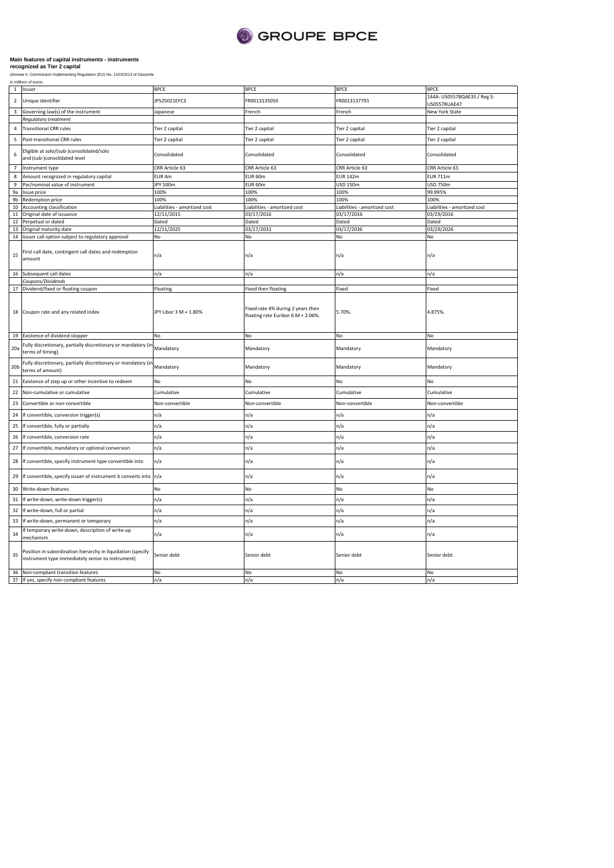

|                 | in millions or euros                                                                                             |                              |                                                                               |                              |                                             |
|-----------------|------------------------------------------------------------------------------------------------------------------|------------------------------|-------------------------------------------------------------------------------|------------------------------|---------------------------------------------|
|                 | 1 Issuer                                                                                                         | <b>BPCE</b>                  | <b>BPCE</b>                                                                   | <b>BPCE</b>                  | <b>BPCE</b>                                 |
| $\overline{2}$  | Unique identifier                                                                                                | JP525021EFC3                 | FR0013135050                                                                  | FR0013137791                 | 144A: US05578QAE35 / Reg S:<br>US05578UAE47 |
| 3               | Governing law(s) of the instrument                                                                               | lapanese                     | French                                                                        | French                       | New York State                              |
|                 | Regulatory treatment                                                                                             |                              |                                                                               |                              |                                             |
| $\sqrt{4}$      | <b>Transitional CRR rules</b>                                                                                    | Tier 2 capital               | Tier 2 capital                                                                | Tier 2 capital               | Tier 2 capital                              |
| 5               | Post-transitional CRR rules                                                                                      | Tier 2 capital               | Tier 2 capital                                                                | Tier 2 capital               | Tier 2 capital                              |
| 6               | Eligible at solo/(sub-)consolidated/solo<br>and (sub-)consolidated level                                         | Consolidated                 | Consolidated                                                                  | Consolidated                 | Consolidated                                |
| $\overline{7}$  | Instrument type                                                                                                  | CRR Article 63               | CRR Article 63                                                                | CRR Article 63               | CRR Article 63                              |
| 8               | Amount recognized in regulatory capital                                                                          | EUR 4m                       | EUR 60m                                                                       | <b>EUR 142m</b>              | <b>EUR 711m</b>                             |
| 9               | Par/nominal value of instrument                                                                                  | JPY 500m                     | EUR 60m                                                                       | <b>USD 150m</b>              | <b>USD 750m</b>                             |
| 9a              | ssue price                                                                                                       | 100%                         | 100%                                                                          | 100%                         | 99.995%                                     |
| 9b              | Redemption price                                                                                                 | 100%                         | 100%                                                                          | 100%                         | 100%                                        |
| 10              | Accounting classification                                                                                        | Liabilities - amortized cost | Liabilities - amortized cost                                                  | Liabilities - amortized cost | Liabilities - amortized cost                |
| 11              | Original date of issuance                                                                                        | 12/11/2015                   | 03/17/2016                                                                    | 03/17/2016                   | 03/29/2016                                  |
| 12              | Perpetual or dated                                                                                               | Dated                        | Dated                                                                         | Dated                        | Dated                                       |
| 13              | Original maturity date                                                                                           | 12/11/2025                   | 03/17/2031                                                                    | 03/17/2036                   | 03/29/2026                                  |
| 14              | Issuer call option subject to regulatory approval                                                                | No                           | No                                                                            | No                           | No                                          |
| 15              | First call date, contingent call dates and redemption<br>amount                                                  | n/a                          | n/a                                                                           | n/a                          | n/a                                         |
| 16              | Subsequent call dates                                                                                            | n/a                          | n/a                                                                           | n/a                          | n/a                                         |
|                 | Coupons/Dividends                                                                                                |                              |                                                                               |                              |                                             |
| 17              | Dividend/fixed or floating coupon                                                                                | Floating                     | Fixed then floating                                                           | Fixed                        | Fixed                                       |
| 18<br>19        | Coupon rate and any related index<br>Existence of dividend stopper                                               | JPY Libor 3 M + 1.80%<br>No  | Fixed rate 4% during 2 years then<br>floating rate Euribor 6 M + 2.06%.<br>No | 5.70%.<br>No                 | 4.875%<br>No                                |
|                 |                                                                                                                  |                              |                                                                               |                              |                                             |
| 20a             | Fully discretionary, partially discretionary or mandatory (in<br>terms of timing)                                | Mandatory                    | Mandatory                                                                     | Mandatory                    | Mandatory                                   |
| 20 <sub>b</sub> | Fully discretionary, partially discretionary or mandatory (in<br>terms of amount)                                | Mandatory                    | Mandatory                                                                     | Mandatory                    | Mandatory                                   |
| 21              | Existence of step up or other incentive to redeem                                                                | No                           | No                                                                            | No                           | No                                          |
| 22              | Non-cumulative or cumulative                                                                                     | Cumulative                   | Cumulative                                                                    | Cumulative                   | Cumulative                                  |
| 23              | Convertible or non-convertible                                                                                   | Non-convertible              | Non-convertible                                                               | Non-convertible              | Non-convertible                             |
| 24              | If convertible, conversion trigger(s)                                                                            | n/a                          | n/a                                                                           | n/a                          | n/a                                         |
| 25              | If convertible, fully or partially                                                                               | n/a                          | n/a                                                                           | n/a                          | n/a                                         |
| 26              | If convertible, conversion rate                                                                                  | n/a                          | n/a                                                                           | n/a                          | n/a                                         |
| 27              | If convertible, mandatory or optional conversion                                                                 | n/a                          | n/a                                                                           | n/a                          | n/a                                         |
| 28              | If convertible, specify instrument type convertible into                                                         | n/a                          | n/a                                                                           | n/a                          | n/a                                         |
| 29              | If convertible, specify issuer of instrument it converts into                                                    | n/a                          | n/a                                                                           | n/a                          | n/a                                         |
| 30              | Write-down features                                                                                              | No                           | No                                                                            | No                           | No                                          |
| 31              | If write-down, write-down trigger(s)                                                                             | n/a                          | n/a                                                                           | n/a                          | n/a                                         |
| 32              | If write-down, full or partial                                                                                   | n/a                          | n/a                                                                           | n/a                          | n/a                                         |
| 33              | If write-down, permanent or temporary                                                                            | n/a                          | n/a                                                                           | n/a                          | n/a                                         |
| 34              | f temporary write-down, description of write-up<br>nechanism                                                     | n/a                          | n/a                                                                           | n/a                          | n/a                                         |
| 35              | Position in subordination hierarchy in liquidation (specify<br>instrument type immediately senior to instrument) | Senior debt                  | Senior debt                                                                   | Senior debt                  | Senior debt                                 |
| 36              | Non-compliant transition features                                                                                | No                           | No                                                                            | No                           | No                                          |
| 37              | If yes, specify non-compliant features                                                                           | n/a                          | n/a                                                                           | n/a                          | n/a                                         |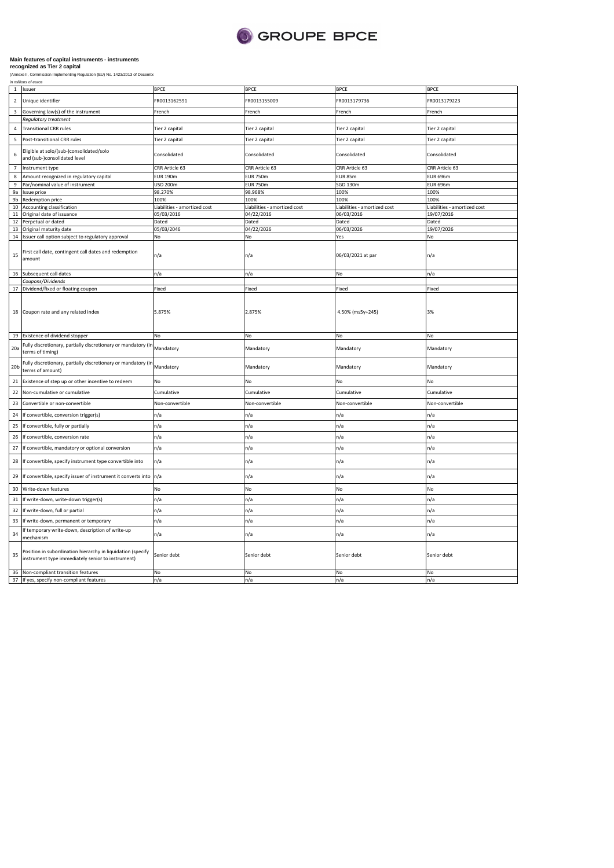

| $\mathbf{1}$    | Issuer                                                                                                           | <b>BPCE</b>                  | <b>BPCE</b>                  | <b>BPCE</b>                  | <b>BPCE</b>                  |
|-----------------|------------------------------------------------------------------------------------------------------------------|------------------------------|------------------------------|------------------------------|------------------------------|
| $\overline{2}$  | Unique identifier                                                                                                | FR0013162591                 | FR0013155009                 | FR0013179736                 | FR0013179223                 |
| $\overline{3}$  | Governing law(s) of the instrument                                                                               | French                       | French                       | French                       | French                       |
|                 | Regulatory treatment                                                                                             |                              |                              |                              |                              |
| 4               | <b>Transitional CRR rules</b>                                                                                    | Tier 2 capital               | Tier 2 capital               | Tier 2 capital               | Tier 2 capital               |
| 5               | Post-transitional CRR rules                                                                                      | Tier 2 capital               | Tier 2 capital               | Tier 2 capital               | Tier 2 capital               |
| 6               | Eligible at solo/(sub-)consolidated/solo<br>and (sub-)consolidated level                                         | Consolidated                 | Consolidated                 | Consolidated                 | Consolidated                 |
| $\overline{7}$  | Instrument type                                                                                                  | CRR Article 63               | CRR Article 63               | CRR Article 63               | CRR Article 63               |
| 8               | Amount recognized in regulatory capital                                                                          | <b>EUR 190m</b>              | <b>EUR 750m</b>              | <b>EUR 85m</b>               | <b>EUR 696m</b>              |
| 9               | Par/nominal value of instrument                                                                                  | <b>USD 200m</b>              | <b>EUR 750m</b>              | SGD 130m                     | <b>EUR 696m</b>              |
| 9a              | Issue price                                                                                                      | 98.270%                      | 98.968%                      | 100%                         | 100%                         |
| 9b              | Redemption price                                                                                                 | 100%                         | 100%                         | 100%                         | 100%                         |
| 10              | Accounting classification                                                                                        | Liabilities - amortized cost | Liabilities - amortized cost | Liabilities - amortized cost | Liabilities - amortized cost |
| 11              | Original date of issuance                                                                                        | 05/03/2016                   | 04/22/2016                   | 06/03/2016                   | 19/07/2016                   |
| 12              | Perpetual or dated                                                                                               | Dated                        | Dated                        | Dated                        | Dated                        |
| 13              | Original maturity date                                                                                           | 05/03/2046                   | 04/22/2026                   | 06/03/2026                   | 19/07/2026                   |
| 14              | Issuer call option subject to regulatory approval                                                                | No                           | No                           | Yes                          | No                           |
|                 |                                                                                                                  |                              |                              |                              |                              |
| 15              | First call date, contingent call dates and redemption<br>amount                                                  | n/a                          | n/a                          | 06/03/2021 at par            | n/a                          |
| 16              | Subsequent call dates                                                                                            | n/a                          | n/a                          | No                           | n/a                          |
|                 | Coupons/Dividends                                                                                                |                              |                              |                              |                              |
| 17              | Dividend/fixed or floating coupon                                                                                | Fixed                        | Fixed                        | Fixed                        | Fixed                        |
| 18<br>19        | Coupon rate and any related index<br>Existence of dividend stopper                                               | 5.875%<br>No                 | 2.875%<br>No                 | 4.50% (ms5y+245)<br>No       | 3%<br>No                     |
|                 |                                                                                                                  |                              |                              |                              |                              |
| 20a             | Fully discretionary, partially discretionary or mandatory (in<br>terms of timing)                                | Mandatory                    | Mandatory                    | Mandatory                    | Mandatory                    |
| 20 <sub>b</sub> | Fully discretionary, partially discretionary or mandatory (in<br>terms of amount)                                | Mandatory                    | Mandatory                    | Mandatory                    | Mandatory                    |
| 21              | Existence of step up or other incentive to redeem                                                                | No                           | No                           | No                           | No.                          |
| 22              | Non-cumulative or cumulative                                                                                     | Cumulative                   | Cumulative                   | Cumulative                   | Cumulative                   |
| 23              | Convertible or non-convertible                                                                                   | Non-convertible              | Non-convertible              | Non-convertible              | Non-convertible              |
| 24              | If convertible, conversion trigger(s)                                                                            | n/a                          | n/a                          | n/a                          | n/a                          |
| 25              | If convertible, fully or partially                                                                               | n/a                          | n/a                          | n/a                          | n/a                          |
| 26              | If convertible, conversion rate                                                                                  | n/a                          | n/a                          | n/a                          | n/a                          |
| 27              | If convertible, mandatory or optional conversion                                                                 | n/a                          | n/a                          | n/a                          | n/a                          |
| 28              | If convertible, specify instrument type convertible into                                                         | n/a                          | n/a                          | n/a                          | n/a                          |
| 29              | If convertible, specify issuer of instrument it converts into                                                    | n/a                          | n/a                          | n/a                          | n/a                          |
| 30              | Write-down features                                                                                              | No                           | No                           | No                           | No                           |
| 31              | If write-down, write-down trigger(s)                                                                             | n/a                          | n/a                          | n/a                          | n/a                          |
| 32              | If write-down, full or partial                                                                                   | n/a                          | n/a                          | n/a                          | n/a                          |
| 33              | If write-down, permanent or temporary                                                                            | n/a                          | n/a                          | n/a                          | n/a                          |
| 34              | f temporary write-down, description of write-up<br>nechanism                                                     | n/a                          | n/a                          | n/a                          | n/a                          |
| 35              | Position in subordination hierarchy in liquidation (specify<br>instrument type immediately senior to instrument) | Senior debt                  | Senior debt                  | Senior debt                  | Senior debt                  |
| 36              | Non-compliant transition features                                                                                | No                           | No                           | No                           | No                           |
| 37              | If yes, specify non-compliant features                                                                           | n/a                          | n/a                          | n/a                          | n/a                          |